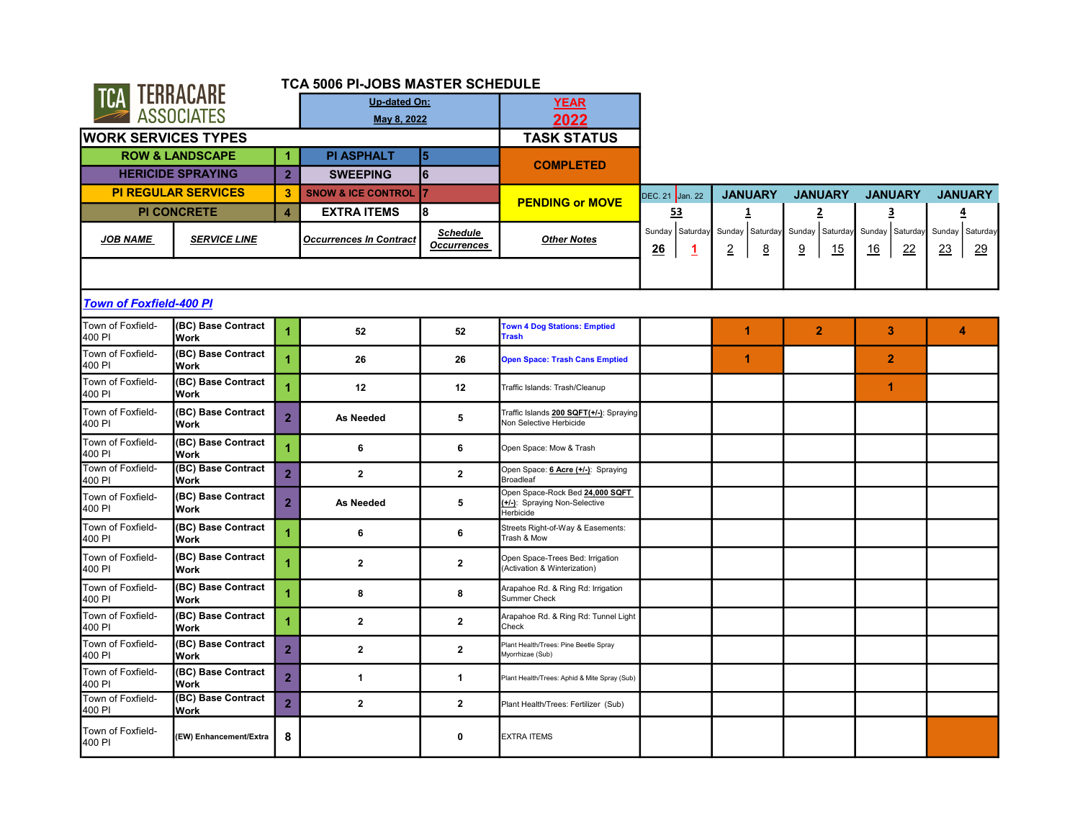|                                |                                   |                | <b>TCA 5006 PI-JOBS MASTER SCHEDULE</b> |                                       |                                                                               |                                                  |                                                     |                                      |                                    |                             |
|--------------------------------|-----------------------------------|----------------|-----------------------------------------|---------------------------------------|-------------------------------------------------------------------------------|--------------------------------------------------|-----------------------------------------------------|--------------------------------------|------------------------------------|-----------------------------|
| TCA TERRACARE                  |                                   |                | <b>Up-dated On:</b>                     |                                       | <b>YEAR</b>                                                                   |                                                  |                                                     |                                      |                                    |                             |
|                                | <b>ASSOCIATES</b>                 |                | May 8, 2022                             |                                       | 2022                                                                          |                                                  |                                                     |                                      |                                    |                             |
| <b>WORK SERVICES TYPES</b>     |                                   |                |                                         |                                       | <b>TASK STATUS</b>                                                            |                                                  |                                                     |                                      |                                    |                             |
|                                | <b>ROW &amp; LANDSCAPE</b>        | 1              | <b>PI ASPHALT</b>                       | 5                                     |                                                                               |                                                  |                                                     |                                      |                                    |                             |
|                                | <b>HERICIDE SPRAYING</b>          | $\overline{2}$ | <b>SWEEPING</b>                         | $6\phantom{a}$                        | <b>COMPLETED</b>                                                              |                                                  |                                                     |                                      |                                    |                             |
|                                | <b>PI REGULAR SERVICES</b>        | 3              | <b>SNOW &amp; ICE CONTROL</b>           | 7                                     |                                                                               | DEC. 21 Jan. 22                                  | <b>JANUARY</b>                                      | <b>JANUARY</b>                       | <b>JANUARY</b>                     | <b>JANUARY</b>              |
|                                | <b>PI CONCRETE</b>                | $\overline{4}$ | <b>EXTRA ITEMS</b>                      | 8                                     | <b>PENDING or MOVE</b>                                                        | <u>53</u>                                        | 1                                                   | $\overline{2}$                       | 3                                  | 4                           |
| <b>JOB NAME</b>                | <b>SERVICE LINE</b>               |                | <b>Occurrences In Contract</b>          | <b>Schedule</b><br><b>Occurrences</b> | <b>Other Notes</b>                                                            | Sunday Saturday<br>26<br>$\mathbf{\overline{1}}$ | Sunday Saturday<br>$\overline{2}$<br>$\overline{8}$ | Sunday<br>Saturday<br><u>9</u><br>15 | Sunday Saturday<br>22<br><u>16</u> | Sunday Saturday<br>23<br>29 |
|                                |                                   |                |                                         |                                       |                                                                               |                                                  |                                                     |                                      |                                    |                             |
| <b>Town of Foxfield-400 PI</b> |                                   |                |                                         |                                       |                                                                               |                                                  |                                                     |                                      |                                    |                             |
| Town of Foxfield-<br>400 PI    | (BC) Base Contract<br><b>Work</b> | 1              | 52                                      | 52                                    | <b>Town 4 Dog Stations: Emptied</b><br><b>Trash</b>                           |                                                  | 1                                                   | $\overline{2}$                       | 3                                  | 4                           |
| Town of Foxfield-<br>400 PI    | (BC) Base Contract<br><b>Work</b> | 4              | 26                                      | 26                                    | <b>Open Space: Trash Cans Emptied</b>                                         |                                                  | 1                                                   |                                      | 2                                  |                             |
| Town of Foxfield-<br>400 PI    | (BC) Base Contract<br><b>Work</b> | 1              | 12                                      | 12                                    | Traffic Islands: Trash/Cleanup                                                |                                                  |                                                     |                                      | 1                                  |                             |
| Town of Foxfield-<br>400 PI    | (BC) Base Contract<br><b>Work</b> | $\overline{2}$ | <b>As Needed</b>                        | 5                                     | Traffic Islands 200 SQFT(+/-): Spraying<br>Non Selective Herbicide            |                                                  |                                                     |                                      |                                    |                             |
| Town of Foxfield-<br>400 PI    | (BC) Base Contract<br><b>Work</b> | 4              | 6                                       | 6                                     | Open Space: Mow & Trash                                                       |                                                  |                                                     |                                      |                                    |                             |
| Town of Foxfield-<br>400 PI    | (BC) Base Contract<br><b>Work</b> | $\overline{2}$ | $\mathbf{2}$                            | $\mathbf{2}$                          | Open Space: 6 Acre (+/-): Spraying<br>Broadleaf                               |                                                  |                                                     |                                      |                                    |                             |
| Town of Foxfield-<br>400 PI    | (BC) Base Contract<br>Work        | $\overline{2}$ | As Needed                               | 5                                     | Open Space-Rock Bed 24,000 SQFT<br>(+/-): Spraying Non-Selective<br>Herbicide |                                                  |                                                     |                                      |                                    |                             |
| Town of Foxfield-<br>400 PI    | (BC) Base Contract<br><b>Work</b> | 1              | 6                                       | 6                                     | Streets Right-of-Way & Easements:<br>Trash & Mow                              |                                                  |                                                     |                                      |                                    |                             |
| Town of Foxfield-<br>400 PI    | (BC) Base Contract<br><b>Work</b> | 4              | $\overline{\mathbf{2}}$                 | $\overline{\mathbf{2}}$               | Open Space-Trees Bed: Irrigation<br>(Activation & Winterization)              |                                                  |                                                     |                                      |                                    |                             |
| Town of Foxfield-<br>400 PI    | (BC) Base Contract<br><b>Work</b> | 4              | 8                                       | 8                                     | Arapahoe Rd. & Ring Rd: Irrigation<br><b>Summer Check</b>                     |                                                  |                                                     |                                      |                                    |                             |
| Town of Foxfield-<br>400 PI    | (BC) Base Contract<br><b>Work</b> | 4              | $\overline{\mathbf{2}}$                 | $\mathbf{2}$                          | Arapahoe Rd. & Ring Rd: Tunnel Light<br>Check                                 |                                                  |                                                     |                                      |                                    |                             |
| Town of Foxfield-<br>400 PI    | (BC) Base Contract<br><b>Work</b> | $\overline{2}$ | $\overline{\mathbf{2}}$                 | $\overline{\mathbf{2}}$               | Plant Health/Trees: Pine Beetle Spray<br>Myorrhizae (Sub)                     |                                                  |                                                     |                                      |                                    |                             |
| Town of Foxfield-<br>400 PI    | (BC) Base Contract<br><b>Work</b> | $\overline{2}$ | $\mathbf{1}$                            | 1                                     | Plant Health/Trees: Aphid & Mite Spray (Sub)                                  |                                                  |                                                     |                                      |                                    |                             |
| Town of Foxfield-<br>400 PI    | (BC) Base Contract<br><b>Work</b> | $\overline{2}$ | $\mathbf{2}$                            | $\mathbf{2}$                          | Plant Health/Trees: Fertilizer (Sub)                                          |                                                  |                                                     |                                      |                                    |                             |
| Town of Foxfield-<br>400 PI    | (EW) Enhancement/Extra            | 8              |                                         | 0                                     | <b>EXTRA ITEMS</b>                                                            |                                                  |                                                     |                                      |                                    |                             |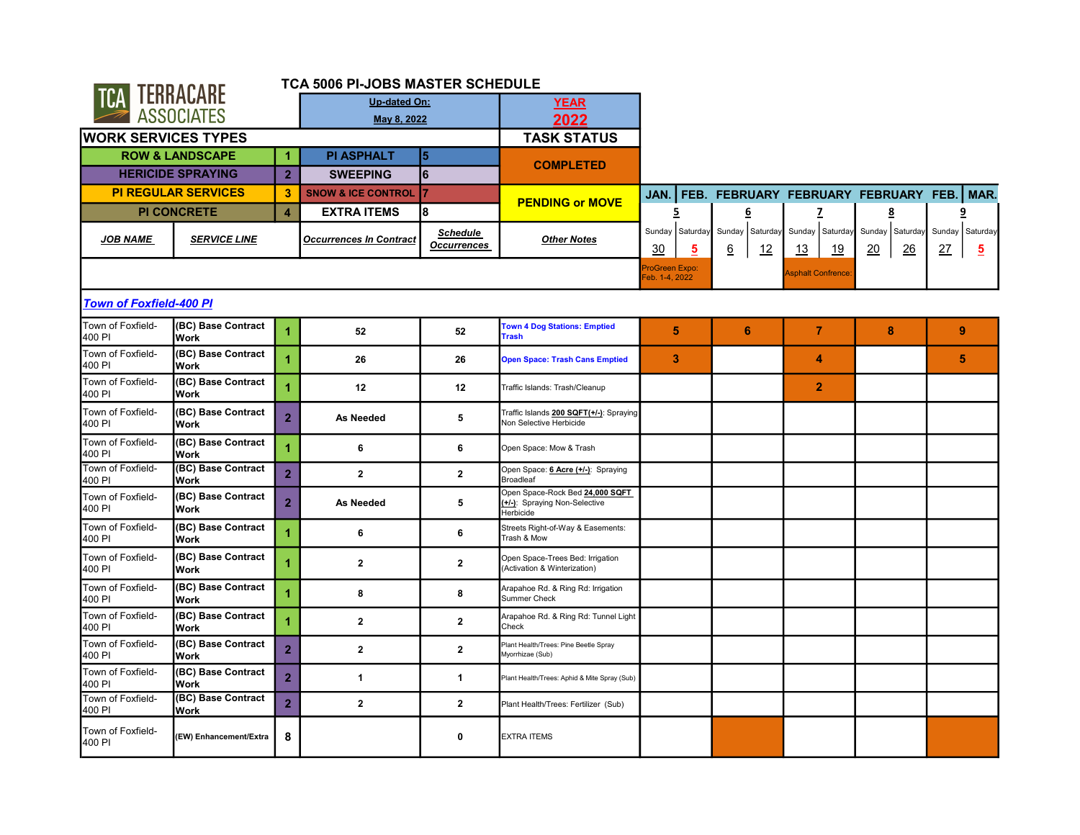|                                |                                   |                | TCA 5006 PI-JOBS MASTER SCHEDULE |                                       |                                                                               |                                  |                                      |                                    |                                                         |                                         |
|--------------------------------|-----------------------------------|----------------|----------------------------------|---------------------------------------|-------------------------------------------------------------------------------|----------------------------------|--------------------------------------|------------------------------------|---------------------------------------------------------|-----------------------------------------|
| TCA TERRACARE                  |                                   |                | <b>Up-dated On:</b>              |                                       | <b>YEAR</b>                                                                   |                                  |                                      |                                    |                                                         |                                         |
|                                | <b>ASSOCIATES</b>                 |                | May 8, 2022                      |                                       | 2022                                                                          |                                  |                                      |                                    |                                                         |                                         |
| <b>WORK SERVICES TYPES</b>     |                                   |                |                                  |                                       | <b>TASK STATUS</b>                                                            |                                  |                                      |                                    |                                                         |                                         |
|                                | <b>ROW &amp; LANDSCAPE</b>        | 1.             | <b>PI ASPHALT</b>                | 5                                     |                                                                               |                                  |                                      |                                    |                                                         |                                         |
|                                | <b>HERICIDE SPRAYING</b>          | 2 <sup>1</sup> | <b>SWEEPING</b>                  | 6                                     | <b>COMPLETED</b>                                                              |                                  |                                      |                                    |                                                         |                                         |
|                                | <b>PI REGULAR SERVICES</b>        | 3              | <b>SNOW &amp; ICE CONTROL</b>    | 7                                     |                                                                               | JAN.                             | FEB. FEBRUARY FEBRUARY FEBRUARY FEB. |                                    |                                                         | MAR.                                    |
|                                | <b>PI CONCRETE</b>                | $\overline{4}$ | <b>EXTRA ITEMS</b>               | l8                                    | <b>PENDING or MOVE</b>                                                        | 5                                | 6                                    | $\overline{z}$                     | 8                                                       | <u>9</u>                                |
| <b>JOB NAME</b>                | <b>SERVICE LINE</b>               |                | <b>Occurrences In Contract</b>   | <b>Schedule</b><br><b>Occurrences</b> | <b>Other Notes</b>                                                            | Sunday Saturday<br>30<br>5       | Sunday<br>Saturday<br><u>6</u><br>12 | Sunday Saturday<br>13<br><u>19</u> | Sunday<br>Saturday<br>$\frac{26}{5}$<br>$\overline{20}$ | Sunday Saturday<br>27<br>$\overline{5}$ |
|                                |                                   |                |                                  |                                       |                                                                               | ProGreen Expo:<br>Feb. 1-4, 2022 |                                      | <b>Asphalt Confrence</b>           |                                                         |                                         |
| <b>Town of Foxfield-400 PI</b> |                                   |                |                                  |                                       |                                                                               |                                  |                                      |                                    |                                                         |                                         |
| Town of Foxfield-<br>400 PI    | (BC) Base Contract<br><b>Work</b> | 1              | 52                               | 52                                    | <b>Town 4 Dog Stations: Emptied</b><br><b>Trash</b>                           | 5                                | 6                                    | $\overline{7}$                     | 8                                                       | 9                                       |
| Town of Foxfield-<br>400 PI    | (BC) Base Contract<br><b>Work</b> |                | 26                               | 26                                    | <b>Open Space: Trash Cans Emptied</b>                                         | 3                                |                                      | 4                                  |                                                         | 5                                       |
| Town of Foxfield-<br>400 PI    | (BC) Base Contract<br><b>Work</b> | 1              | 12                               | 12                                    | Traffic Islands: Trash/Cleanup                                                |                                  |                                      | $\overline{2}$                     |                                                         |                                         |
| Town of Foxfield-<br>400 PI    | (BC) Base Contract<br><b>Work</b> | $\overline{2}$ | <b>As Needed</b>                 | 5                                     | Traffic Islands 200 SQFT(+/-): Spraying<br>Non Selective Herbicide            |                                  |                                      |                                    |                                                         |                                         |
| Town of Foxfield-<br>400 PI    | (BC) Base Contract<br><b>Work</b> | 1              | 6                                | 6                                     | Open Space: Mow & Trash                                                       |                                  |                                      |                                    |                                                         |                                         |
| Town of Foxfield-<br>400 PI    | (BC) Base Contract<br><b>Work</b> | $\overline{2}$ | $\mathbf{2}$                     | $\overline{\mathbf{2}}$               | Open Space: 6 Acre (+/-): Spraying<br><b>Broadleaf</b>                        |                                  |                                      |                                    |                                                         |                                         |
| Town of Foxfield-<br>400 PI    | (BC) Base Contract<br><b>Work</b> | $\overline{2}$ | As Needed                        | 5                                     | Open Space-Rock Bed 24,000 SQFT<br>(+/-): Spraying Non-Selective<br>Herbicide |                                  |                                      |                                    |                                                         |                                         |
| Town of Foxfield-<br>400 PI    | (BC) Base Contract<br><b>Work</b> | 1              | 6                                | 6                                     | Streets Right-of-Way & Easements:<br>Trash & Mow                              |                                  |                                      |                                    |                                                         |                                         |
| Town of Foxfield-<br>400 PI    | (BC) Base Contract<br><b>Work</b> |                | $\mathbf{2}$                     | $\overline{\mathbf{2}}$               | Open Space-Trees Bed: Irrigation<br>(Activation & Winterization)              |                                  |                                      |                                    |                                                         |                                         |
| Town of Foxfield-<br>400 PI    | (BC) Base Contract<br><b>Work</b> | 4              | 8                                | 8                                     | Arapahoe Rd. & Ring Rd: Irrigation<br><b>Summer Check</b>                     |                                  |                                      |                                    |                                                         |                                         |
| Town of Foxfield-<br>400 PI    | (BC) Base Contract<br><b>Work</b> | 4              | $\overline{\mathbf{2}}$          | $\mathbf{2}$                          | Arapahoe Rd. & Ring Rd: Tunnel Light<br>Check                                 |                                  |                                      |                                    |                                                         |                                         |
| Town of Foxfield-<br>400 PI    | (BC) Base Contract<br><b>Work</b> | $\overline{2}$ | $\overline{\mathbf{2}}$          | $\mathbf{2}$                          | Plant Health/Trees: Pine Beetle Spray<br>Myorrhizae (Sub)                     |                                  |                                      |                                    |                                                         |                                         |
| Town of Foxfield-<br>400 PI    | (BC) Base Contract<br><b>Work</b> | $\overline{2}$ | $\mathbf{1}$                     | 1                                     | Plant Health/Trees: Aphid & Mite Spray (Sub)                                  |                                  |                                      |                                    |                                                         |                                         |
| Town of Foxfield-<br>400 PI    | (BC) Base Contract<br><b>Work</b> | $\overline{2}$ | $\mathbf{2}$                     | $\mathbf{2}$                          | Plant Health/Trees: Fertilizer (Sub)                                          |                                  |                                      |                                    |                                                         |                                         |
| Town of Foxfield-<br>400 PI    | (EW) Enhancement/Extra            | 8              |                                  | 0                                     | <b>EXTRA ITEMS</b>                                                            |                                  |                                      |                                    |                                                         |                                         |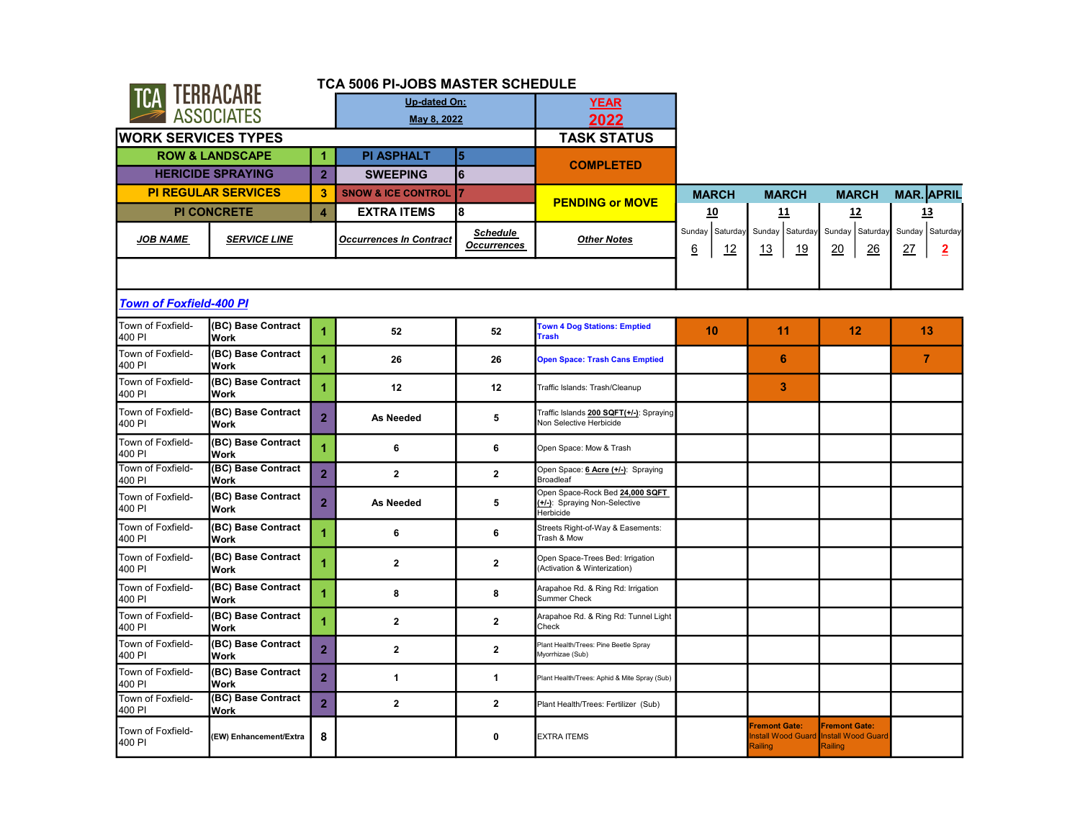| <b>TCA TERRACARE</b>                             |                                                  | TCA 5006 PI-JOBS MASTER SCHEDULE |                                |                                       |                                                                               |                                           |                                                      |                                                              |                                                |
|--------------------------------------------------|--------------------------------------------------|----------------------------------|--------------------------------|---------------------------------------|-------------------------------------------------------------------------------|-------------------------------------------|------------------------------------------------------|--------------------------------------------------------------|------------------------------------------------|
|                                                  |                                                  |                                  | Up-dated On:                   |                                       | <b>YEAR</b>                                                                   |                                           |                                                      |                                                              |                                                |
|                                                  | <b>ASSOCIATES</b>                                |                                  | May 8, 2022                    |                                       | 2022                                                                          |                                           |                                                      |                                                              |                                                |
| <b>WORK SERVICES TYPES</b>                       |                                                  |                                  |                                |                                       | <b>TASK STATUS</b>                                                            |                                           |                                                      |                                                              |                                                |
|                                                  | <b>ROW &amp; LANDSCAPE</b>                       | 1                                | <b>PI ASPHALT</b>              | 5                                     | <b>COMPLETED</b>                                                              |                                           |                                                      |                                                              |                                                |
|                                                  | <b>HERICIDE SPRAYING</b>                         | $\overline{2}$                   | <b>SWEEPING</b>                | l6                                    |                                                                               |                                           |                                                      |                                                              |                                                |
|                                                  | <b>PI REGULAR SERVICES</b>                       | $\mathbf{3}$                     | <b>SNOW &amp; ICE CONTROL</b>  | 17                                    | <b>PENDING or MOVE</b>                                                        | <b>MARCH</b>                              | <b>MARCH</b>                                         | <b>MARCH</b>                                                 | <b>MAR.</b> APRIL                              |
|                                                  | <b>PI CONCRETE</b>                               | $\overline{4}$                   | <b>EXTRA ITEMS</b>             | 8                                     |                                                                               | 10                                        | 11                                                   | 12                                                           | <u>13</u>                                      |
| <b>JOB NAME</b>                                  | <b>SERVICE LINE</b>                              |                                  | <b>Occurrences In Contract</b> | <b>Schedule</b><br><b>Occurrences</b> | <b>Other Notes</b>                                                            | Sunday Saturday<br><u>6</u><br><u> 12</u> | Sunday Saturday<br>19<br><u>13</u>                   | Sunday Saturday<br>20<br>26                                  | Sunday Saturday<br><u>27</u><br>$\overline{2}$ |
|                                                  |                                                  |                                  |                                |                                       |                                                                               |                                           |                                                      |                                                              |                                                |
| <b>Town of Foxfield-400 PI</b>                   |                                                  |                                  |                                |                                       |                                                                               |                                           |                                                      |                                                              |                                                |
| Town of Foxfield-<br>400 PI                      | (BC) Base Contract<br>Work                       | 1                                | 52                             | 52                                    | <b>Town 4 Dog Stations: Emptied</b><br><b>Trash</b>                           | 10                                        | 11                                                   | 12                                                           | 13                                             |
| Town of Foxfield-<br>400 PI                      | (BC) Base Contract<br>Work                       | $\overline{1}$                   | 26                             | 26                                    | <b>Open Space: Trash Cans Emptied</b>                                         |                                           | 6                                                    |                                                              | $\overline{7}$                                 |
| Town of Foxfield-<br>400 PI                      | (BC) Base Contract<br>Work                       | $\overline{1}$                   | 12                             | 12                                    | Traffic Islands: Trash/Cleanup                                                |                                           | 3                                                    |                                                              |                                                |
| Town of Foxfield-<br>400 PI                      | (BC) Base Contract<br><b>Work</b>                | $\overline{2}$                   | As Needed                      | 5                                     | Traffic Islands 200 SQFT(+/-): Spraying<br>Non Selective Herbicide            |                                           |                                                      |                                                              |                                                |
| Town of Foxfield-<br>400 PI                      | (BC) Base Contract<br>Work                       | $\overline{1}$                   | 6                              | 6                                     | Open Space: Mow & Trash                                                       |                                           |                                                      |                                                              |                                                |
| Town of Foxfield-<br>400 PI                      | (BC) Base Contract<br>Work                       | $\overline{2}$                   | $\overline{2}$                 | $\overline{2}$                        | Open Space: 6 Acre (+/-): Spraying<br><b>Broadleaf</b>                        |                                           |                                                      |                                                              |                                                |
| Town of Foxfield-<br>400 PI                      | (BC) Base Contract<br>Work                       | $\overline{2}$                   | As Needed                      | 5                                     | Open Space-Rock Bed 24,000 SQFT<br>(+/-): Spraying Non-Selective<br>Herbicide |                                           |                                                      |                                                              |                                                |
| Town of Foxfield-<br>400 PI                      | (BC) Base Contract<br>Work                       | $\overline{1}$                   | 6                              | 6                                     | Streets Right-of-Way & Easements:<br>Trash & Mow                              |                                           |                                                      |                                                              |                                                |
| Town of Foxfield-<br>400 PI                      | (BC) Base Contract<br>Work                       | 1                                | $\overline{2}$                 | $\mathbf{2}$                          | Open Space-Trees Bed: Irrigation<br>(Activation & Winterization)              |                                           |                                                      |                                                              |                                                |
| Town of Foxfield-<br>400 PI                      | (BC) Base Contract<br>Work                       | 1                                | 8                              | 8                                     | Arapahoe Rd. & Ring Rd: Irrigation<br><b>Summer Check</b>                     |                                           |                                                      |                                                              |                                                |
| Town of Foxfield-<br>400 PI                      | (BC) Base Contract<br>Work                       | 1                                | $\mathbf{2}$                   | $\mathbf{2}$                          | Arapahoe Rd. & Ring Rd: Tunnel Light<br>Check                                 |                                           |                                                      |                                                              |                                                |
| Town of Foxfield-<br>400 PI                      | (BC) Base Contract<br><b>Work</b>                | $\overline{2}$                   | $\overline{2}$                 | $\overline{2}$                        | Plant Health/Trees: Pine Beetle Spray<br>Myorrhizae (Sub)                     |                                           |                                                      |                                                              |                                                |
| Town of Foxfield-<br>400 PI<br>Town of Foxfield- | (BC) Base Contract<br>Work<br>(BC) Base Contract | $\overline{2}$                   | $\mathbf{1}$                   | 1                                     | Plant Health/Trees: Aphid & Mite Spray (Sub)                                  |                                           |                                                      |                                                              |                                                |
| 400 PI                                           | <b>Work</b>                                      | $\overline{2}$                   | $\mathbf{2}$                   | $\mathbf{2}$                          | Plant Health/Trees: Fertilizer (Sub)                                          |                                           |                                                      |                                                              |                                                |
| Town of Foxfield-<br>400 PI                      | (EW) Enhancement/Extra                           | 8                                |                                | 0                                     | <b>EXTRA ITEMS</b>                                                            |                                           | <b>Fremont Gate:</b><br>nstall Wood Guard<br>Railing | <b>Fremont Gate:</b><br><b>Install Wood Guard</b><br>Railing |                                                |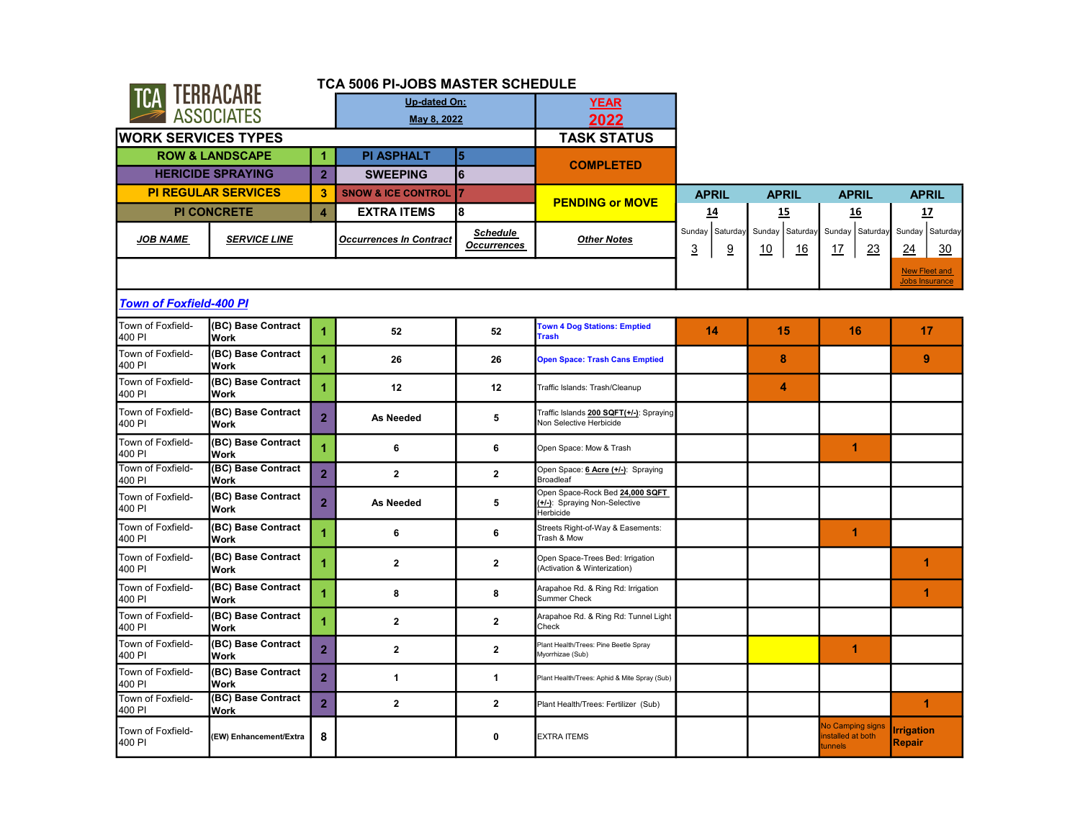|                                | CA TERRACARE                      |                      | TCA 5006 PI-JOBS MASTER SCHEDULE |                                       |                                                                               |                                                      |                             |                                                        |                                               |
|--------------------------------|-----------------------------------|----------------------|----------------------------------|---------------------------------------|-------------------------------------------------------------------------------|------------------------------------------------------|-----------------------------|--------------------------------------------------------|-----------------------------------------------|
|                                |                                   |                      | Up-dated On:                     |                                       | <b>YEAR</b>                                                                   |                                                      |                             |                                                        |                                               |
|                                | <b>ASSOCIATES</b>                 |                      | May 8, 2022                      |                                       | 2022                                                                          |                                                      |                             |                                                        |                                               |
| <b>WORK SERVICES TYPES</b>     |                                   |                      |                                  |                                       | <b>TASK STATUS</b>                                                            |                                                      |                             |                                                        |                                               |
|                                | <b>ROW &amp; LANDSCAPE</b>        | $\blacktriangleleft$ | <b>PI ASPHALT</b>                | 5                                     |                                                                               |                                                      |                             |                                                        |                                               |
|                                | <b>HERICIDE SPRAYING</b>          | $\overline{2}$       | <b>SWEEPING</b>                  | 6                                     | <b>COMPLETED</b>                                                              |                                                      |                             |                                                        |                                               |
|                                | <b>PI REGULAR SERVICES</b>        | 3                    | <b>SNOW &amp; ICE CONTROL</b>    | 17                                    | <b>PENDING or MOVE</b>                                                        | <b>APRIL</b>                                         | <b>APRIL</b>                | <b>APRIL</b>                                           | <b>APRIL</b>                                  |
|                                | <b>PI CONCRETE</b>                | $\overline{4}$       | <b>EXTRA ITEMS</b>               | l8                                    |                                                                               | 14                                                   | 15                          | 16                                                     | 17                                            |
| <b>JOB NAME</b>                | <b>SERVICE LINE</b>               |                      | <b>Occurrences In Contract</b>   | <b>Schedule</b><br><b>Occurrences</b> | <b>Other Notes</b>                                                            | Sunday Saturday<br>$\overline{3}$<br>$\underline{9}$ | Sunday Saturday<br>10<br>16 | Sunday Saturday<br>23<br>17                            | Sunday Saturday<br>24<br>30                   |
|                                |                                   |                      |                                  |                                       |                                                                               |                                                      |                             |                                                        | <b>New Fleet and</b><br><b>Jobs Insurance</b> |
| <b>Town of Foxfield-400 PI</b> |                                   |                      |                                  |                                       |                                                                               |                                                      |                             |                                                        |                                               |
| Town of Foxfield-<br>400 PI    | (BC) Base Contract<br>Work        | $\blacktriangleleft$ | 52                               | 52                                    | <b>Town 4 Dog Stations: Emptied</b><br><b>Trash</b>                           | 14                                                   | 15                          | 16                                                     | 17                                            |
| Town of Foxfield-<br>400 PI    | (BC) Base Contract<br>Work        | $\blacktriangleleft$ | 26                               | 26                                    | <b>Open Space: Trash Cans Emptied</b>                                         |                                                      | 8                           |                                                        | 9                                             |
| Town of Foxfield-<br>400 PI    | (BC) Base Contract<br>Work        | 1                    | 12                               | 12                                    | Traffic Islands: Trash/Cleanup                                                |                                                      | 4                           |                                                        |                                               |
| Town of Foxfield-<br>400 PI    | (BC) Base Contract<br><b>Work</b> | $\overline{2}$       | <b>As Needed</b>                 | 5                                     | Traffic Islands 200 SQFT(+/-): Spraying<br>Non Selective Herbicide            |                                                      |                             |                                                        |                                               |
| Town of Foxfield-<br>400 PI    | (BC) Base Contract<br>Work        | $\overline{1}$       | 6                                | 6                                     | Open Space: Mow & Trash                                                       |                                                      |                             | $\blacktriangleleft$                                   |                                               |
| Town of Foxfield-<br>400 PI    | (BC) Base Contract<br>Work        | $\overline{2}$       | $\overline{2}$                   | $\overline{2}$                        | Open Space: 6 Acre (+/-): Spraying<br><b>Broadleaf</b>                        |                                                      |                             |                                                        |                                               |
| Town of Foxfield-<br>400 PI    | (BC) Base Contract<br>Work        | $\overline{2}$       | As Needed                        | 5                                     | Open Space-Rock Bed 24,000 SQFT<br>(+/-): Spraying Non-Selective<br>Herbicide |                                                      |                             |                                                        |                                               |
| Town of Foxfield-<br>400 PI    | (BC) Base Contract<br>Work        | 1                    | 6                                | 6                                     | Streets Right-of-Way & Easements:<br>Trash & Mow                              |                                                      |                             | 1                                                      |                                               |
| Town of Foxfield-<br>400 PI    | (BC) Base Contract<br>Work        | 1                    | $\mathbf{2}$                     | $\mathbf{2}$                          | Open Space-Trees Bed: Irrigation<br>(Activation & Winterization)              |                                                      |                             |                                                        | 1                                             |
| Town of Foxfield-<br>400 PI    | (BC) Base Contract<br>Work        | $\overline{1}$       | 8                                | 8                                     | Arapahoe Rd. & Ring Rd: Irrigation<br>Summer Check                            |                                                      |                             |                                                        | 1                                             |
| Town of Foxfield-<br>400 PI    | (BC) Base Contract<br>Work        | $\overline{1}$       | $\overline{2}$                   | $\overline{2}$                        | Arapahoe Rd. & Ring Rd: Tunnel Light<br>Check                                 |                                                      |                             |                                                        |                                               |
| Town of Foxfield-<br>400 PI    | (BC) Base Contract<br>Work        | $\overline{2}$       | $\mathbf{2}$                     | $\mathbf{2}$                          | Plant Health/Trees: Pine Beetle Spray<br>Myorrhizae (Sub)                     |                                                      |                             | $\blacktriangleleft$                                   |                                               |
| Town of Foxfield-<br>400 PI    | (BC) Base Contract<br>Work        | $\overline{2}$       | 1                                | $\mathbf{1}$                          | Plant Health/Trees: Aphid & Mite Spray (Sub)                                  |                                                      |                             |                                                        |                                               |
| Town of Foxfield-<br>400 PI    | (BC) Base Contract<br>Work        | $\overline{2}$       | $\overline{2}$                   | $\overline{2}$                        | Plant Health/Trees: Fertilizer (Sub)                                          |                                                      |                             |                                                        | 1                                             |
| Town of Foxfield-<br>400 PI    | (EW) Enhancement/Extra            | 8                    |                                  | 0                                     | <b>EXTRA ITEMS</b>                                                            |                                                      |                             | <b>No Camping signs</b><br>nstalled at both<br>tunnels | <b>Irrigation</b><br><b>Repair</b>            |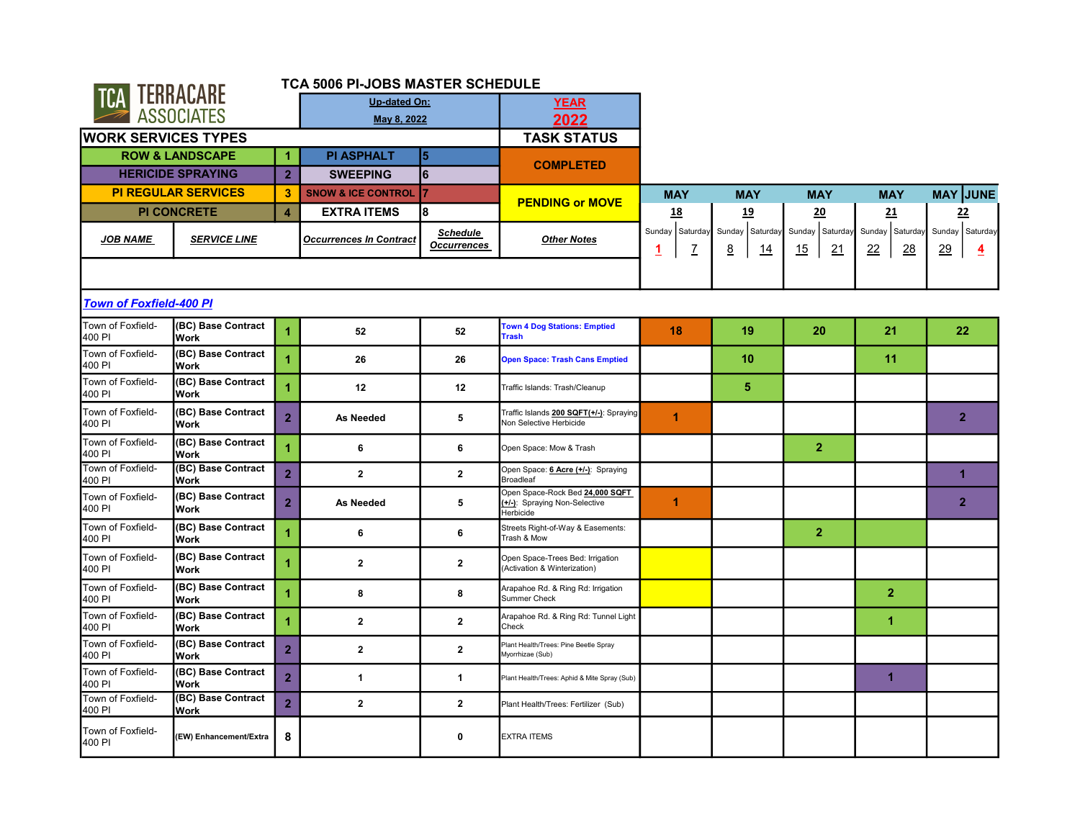|                                                  |                                   |                         | TCA 5006 PI-JOBS MASTER SCHEDULE |                                       |                                                                               |                           |                                   |                             |                                          |                                         |
|--------------------------------------------------|-----------------------------------|-------------------------|----------------------------------|---------------------------------------|-------------------------------------------------------------------------------|---------------------------|-----------------------------------|-----------------------------|------------------------------------------|-----------------------------------------|
| TCA TERRACARE                                    |                                   |                         | Up-dated On:                     |                                       | <b>YEAR</b>                                                                   |                           |                                   |                             |                                          |                                         |
|                                                  | <b>ASSOCIATES</b>                 |                         | May 8, 2022                      |                                       | 2022                                                                          |                           |                                   |                             |                                          |                                         |
| <b>WORK SERVICES TYPES</b>                       |                                   |                         |                                  |                                       | <b>TASK STATUS</b>                                                            |                           |                                   |                             |                                          |                                         |
|                                                  | <b>ROW &amp; LANDSCAPE</b>        | 1                       | <b>PI ASPHALT</b>                | 5                                     |                                                                               |                           |                                   |                             |                                          |                                         |
|                                                  | <b>HERICIDE SPRAYING</b>          | 2 <sup>1</sup>          | <b>SWEEPING</b>                  | l6                                    | <b>COMPLETED</b>                                                              |                           |                                   |                             |                                          |                                         |
|                                                  | <b>PI REGULAR SERVICES</b>        | 3                       | <b>SNOW &amp; ICE CONTROL</b>    | 7                                     |                                                                               | <b>MAY</b>                | <b>MAY</b>                        | <b>MAY</b>                  | <b>MAY</b>                               | <b>MAY JUNE</b>                         |
|                                                  | <b>PI CONCRETE</b>                | $\overline{\mathbf{4}}$ | <b>EXTRA ITEMS</b>               | 18                                    | <b>PENDING or MOVE</b>                                                        | 18                        | <u>19</u>                         | 20                          | 21                                       | <u>22</u>                               |
| <b>JOB NAME</b>                                  | <b>SERVICE LINE</b>               |                         | <b>Occurrences In Contract</b>   | <b>Schedule</b><br><b>Occurrences</b> | <b>Other Notes</b>                                                            | Sunday Saturday<br>7<br>1 | Sunday Saturday<br><u>8</u><br>14 | Sunday Saturday<br>15<br>21 | Sunday Saturday<br>22<br>$\overline{28}$ | Sunday Saturday<br>29<br>$\overline{4}$ |
|                                                  |                                   |                         |                                  |                                       |                                                                               |                           |                                   |                             |                                          |                                         |
| <b>Town of Foxfield-400 PI</b>                   |                                   |                         |                                  |                                       |                                                                               |                           |                                   |                             |                                          |                                         |
| Town of Foxfield-<br>400 PI                      | (BC) Base Contract<br><b>Work</b> | 1                       | 52                               | 52                                    | <b>Town 4 Dog Stations: Emptied</b><br><b>Trash</b>                           | 18                        | 19                                | 20                          | 21                                       | 22                                      |
| Town of Foxfield-<br>400 PI                      | (BC) Base Contract<br>Work        | 1                       | 26                               | 26                                    | <b>Open Space: Trash Cans Emptied</b>                                         |                           | 10                                |                             | 11                                       |                                         |
| Town of Foxfield-<br>400 PI                      | (BC) Base Contract<br>Work        | 1                       | 12                               | 12                                    | Traffic Islands: Trash/Cleanup                                                |                           | $\sqrt{5}$                        |                             |                                          |                                         |
| Town of Foxfield-<br>400 PI                      | (BC) Base Contract<br><b>Work</b> | $\overline{2}$          | As Needed                        | 5                                     | Traffic Islands 200 SQFT(+/-): Spraying<br>Non Selective Herbicide            | 1                         |                                   |                             |                                          | $\overline{2}$                          |
| Town of Foxfield-<br>400 PI                      | (BC) Base Contract<br><b>Work</b> | $\blacktriangleleft$    | 6                                | 6                                     | Open Space: Mow & Trash                                                       |                           |                                   | $\overline{2}$              |                                          |                                         |
| Town of Foxfield-<br>400 PI                      | (BC) Base Contract<br><b>Work</b> | $\overline{2}$          | $\overline{2}$                   | $\overline{2}$                        | Open Space: 6 Acre (+/-): Spraying<br>Broadleaf                               |                           |                                   |                             |                                          | 1                                       |
| Town of Foxfield-<br>400 PI                      | (BC) Base Contract<br>Work        | $\overline{2}$          | <b>As Needed</b>                 | 5                                     | Open Space-Rock Bed 24,000 SQFT<br>(+/-): Spraying Non-Selective<br>Herbicide | 1                         |                                   |                             |                                          | $\overline{2}$                          |
| Town of Foxfield-<br>400 PI                      | (BC) Base Contract<br>Work        | 1                       | 6                                | 6                                     | Streets Right-of-Way & Easements:<br>Trash & Mow                              |                           |                                   | $\overline{2}$              |                                          |                                         |
| Town of Foxfield-<br>400 PI                      | (BC) Base Contract<br>Work        |                         | $\overline{\mathbf{2}}$          | $\mathbf{2}$                          | Open Space-Trees Bed: Irrigation<br>(Activation & Winterization)              |                           |                                   |                             |                                          |                                         |
| Town of Foxfield-<br>400 PI                      | (BC) Base Contract<br>Work        | $\blacktriangleleft$    | 8                                | 8                                     | Arapahoe Rd. & Ring Rd: Irrigation<br><b>Summer Check</b>                     |                           |                                   |                             | $\overline{2}$                           |                                         |
| Town of Foxfield-<br>400 PI                      | (BC) Base Contract<br>Work        |                         | $\overline{2}$                   | $\mathbf{2}$                          | Arapahoe Rd. & Ring Rd: Tunnel Light<br>Check                                 |                           |                                   |                             | $\blacktriangleleft$                     |                                         |
| Town of Foxfield-<br>400 PI                      | (BC) Base Contract<br>Work        | $\overline{2}$          | $\overline{\mathbf{2}}$          | $\mathbf{2}$                          | Plant Health/Trees: Pine Beetle Spray<br>Myorrhizae (Sub)                     |                           |                                   |                             |                                          |                                         |
| Town of Foxfield-<br>400 PI<br>Town of Foxfield- | (BC) Base Contract<br>Work        | $\overline{2}$          | $\mathbf{1}$                     | 1                                     | Plant Health/Trees: Aphid & Mite Spray (Sub)                                  |                           |                                   |                             | 1                                        |                                         |
| 400 PI                                           | (BC) Base Contract<br>Work        | $\overline{2}$          | $\overline{\mathbf{2}}$          | $\mathbf{2}$                          | Plant Health/Trees: Fertilizer (Sub)                                          |                           |                                   |                             |                                          |                                         |
| Town of Foxfield-<br>400 PI                      | (EW) Enhancement/Extra            | 8                       |                                  | 0                                     | <b>EXTRA ITEMS</b>                                                            |                           |                                   |                             |                                          |                                         |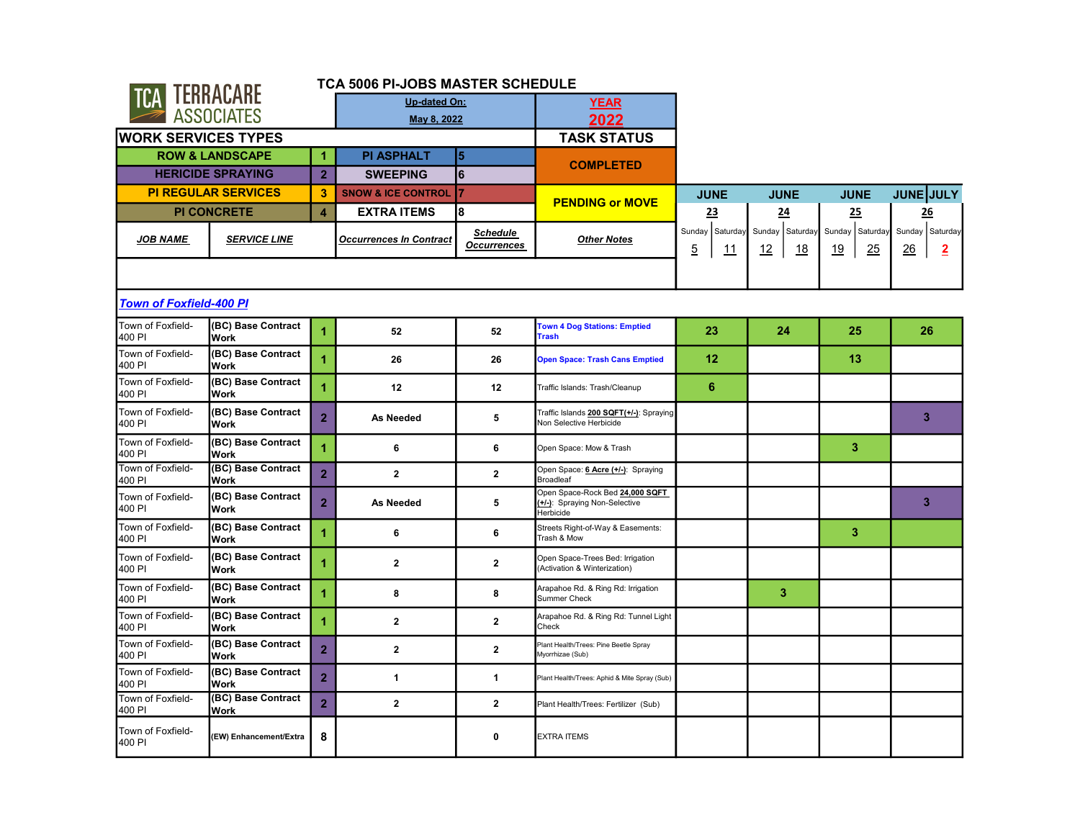| <b>CA TERRACARE</b>            |                                   | TCA 5006 PI-JOBS MASTER SCHEDULE |                                |                                       |                                                                               |                                         |                             |                                    |                                         |
|--------------------------------|-----------------------------------|----------------------------------|--------------------------------|---------------------------------------|-------------------------------------------------------------------------------|-----------------------------------------|-----------------------------|------------------------------------|-----------------------------------------|
|                                |                                   |                                  | Up-dated On:                   |                                       | <b>YEAR</b>                                                                   |                                         |                             |                                    |                                         |
|                                | <b>ASSOCIATES</b>                 |                                  | May 8, 2022                    |                                       | 2022                                                                          |                                         |                             |                                    |                                         |
| <b>WORK SERVICES TYPES</b>     |                                   |                                  |                                |                                       | <b>TASK STATUS</b>                                                            |                                         |                             |                                    |                                         |
|                                | <b>ROW &amp; LANDSCAPE</b>        | $\blacktriangleleft$             | <b>PI ASPHALT</b>              | 15                                    |                                                                               |                                         |                             |                                    |                                         |
|                                | <b>HERICIDE SPRAYING</b>          | $\overline{2}$                   | <b>SWEEPING</b>                | 6                                     | <b>COMPLETED</b>                                                              |                                         |                             |                                    |                                         |
|                                | <b>PI REGULAR SERVICES</b>        | 3                                | <b>SNOW &amp; ICE CONTROL</b>  | 17                                    | <b>PENDING or MOVE</b>                                                        | <b>JUNE</b>                             | <b>JUNE</b>                 | <b>JUNE</b>                        | <b>JUNE JULY</b>                        |
|                                | <b>PI CONCRETE</b>                | $\overline{4}$                   | <b>EXTRA ITEMS</b>             | l8                                    |                                                                               | <u>23</u>                               | 24                          | 25                                 | 26                                      |
| <b>JOB NAME</b>                | <b>SERVICE LINE</b>               |                                  | <b>Occurrences In Contract</b> | <b>Schedule</b><br><b>Occurrences</b> | <b>Other Notes</b>                                                            | Sunday Saturday<br>$\overline{5}$<br>11 | Sunday Saturday<br>12<br>18 | Sunday Saturday<br>25<br><u>19</u> | Sunday Saturday<br>26<br>$\overline{2}$ |
|                                |                                   |                                  |                                |                                       |                                                                               |                                         |                             |                                    |                                         |
| <b>Town of Foxfield-400 PI</b> |                                   |                                  |                                |                                       |                                                                               |                                         |                             |                                    |                                         |
| Town of Foxfield-<br>400 PI    | (BC) Base Contract<br>Work        | $\blacktriangleleft$             | 52                             | 52                                    | <b>Town 4 Dog Stations: Emptied</b><br><b>Trash</b>                           | 23                                      | 24                          | 25                                 | 26                                      |
| Town of Foxfield-<br>400 PI    | (BC) Base Contract<br><b>Work</b> | $\overline{1}$                   | 26                             | 26                                    | Open Space: Trash Cans Emptied                                                | 12                                      |                             | 13                                 |                                         |
| Town of Foxfield-<br>400 PI    | (BC) Base Contract<br><b>Work</b> | 1                                | 12                             | 12                                    | Traffic Islands: Trash/Cleanup                                                | 6                                       |                             |                                    |                                         |
| Town of Foxfield-<br>400 PI    | (BC) Base Contract<br><b>Work</b> | $\overline{2}$                   | <b>As Needed</b>               | 5                                     | Traffic Islands 200 SQFT(+/-): Spraying<br>Non Selective Herbicide            |                                         |                             |                                    | 3                                       |
| Town of Foxfield-<br>400 PI    | (BC) Base Contract<br>Work        | $\overline{1}$                   | 6                              | 6                                     | Open Space: Mow & Trash                                                       |                                         |                             | 3                                  |                                         |
| Town of Foxfield-<br>400 PI    | (BC) Base Contract<br>Work        | $\overline{2}$                   | $\mathbf{2}$                   | $\overline{2}$                        | Open Space: 6 Acre (+/-): Spraying<br><b>Broadleaf</b>                        |                                         |                             |                                    |                                         |
| Town of Foxfield-<br>400 PI    | (BC) Base Contract<br>Work        | $\overline{2}$                   | As Needed                      | 5                                     | Open Space-Rock Bed 24,000 SQFT<br>(+/-): Spraying Non-Selective<br>Herbicide |                                         |                             |                                    | 3                                       |
| Town of Foxfield-<br>400 PI    | (BC) Base Contract<br>Work        | 1                                | 6                              | 6                                     | Streets Right-of-Way & Easements:<br>Trash & Mow                              |                                         |                             | 3                                  |                                         |
| Town of Foxfield-<br>400 PI    | (BC) Base Contract<br>Work        | 1                                | $\mathbf{2}$                   | $\mathbf{2}$                          | Open Space-Trees Bed: Irrigation<br>(Activation & Winterization)              |                                         |                             |                                    |                                         |
| Town of Foxfield-<br>400 PI    | (BC) Base Contract<br>Work        | 1                                | 8                              | 8                                     | Arapahoe Rd. & Ring Rd: Irrigation<br>Summer Check                            |                                         | 3                           |                                    |                                         |
| Town of Foxfield-<br>400 PI    | (BC) Base Contract<br>Work        | $\overline{1}$                   | $\overline{2}$                 | $\overline{2}$                        | Arapahoe Rd. & Ring Rd: Tunnel Light<br>Check                                 |                                         |                             |                                    |                                         |
| Town of Foxfield-<br>400 PI    | (BC) Base Contract<br>Work        | $\overline{2}$                   | $\mathbf{2}$                   | $\mathbf{2}$                          | Plant Health/Trees: Pine Beetle Spray<br>Myorrhizae (Sub)                     |                                         |                             |                                    |                                         |
| Town of Foxfield-<br>400 PI    | (BC) Base Contract<br>Work        | $\overline{2}$                   | 1                              | 1                                     | Plant Health/Trees: Aphid & Mite Spray (Sub)                                  |                                         |                             |                                    |                                         |
| Town of Foxfield-<br>400 PI    | (BC) Base Contract<br>Work        | $\overline{2}$                   | $\overline{2}$                 | $\overline{2}$                        | Plant Health/Trees: Fertilizer (Sub)                                          |                                         |                             |                                    |                                         |
| Town of Foxfield-<br>400 PI    | (EW) Enhancement/Extra            | 8                                |                                | $\mathbf{0}$                          | <b>EXTRA ITEMS</b>                                                            |                                         |                             |                                    |                                         |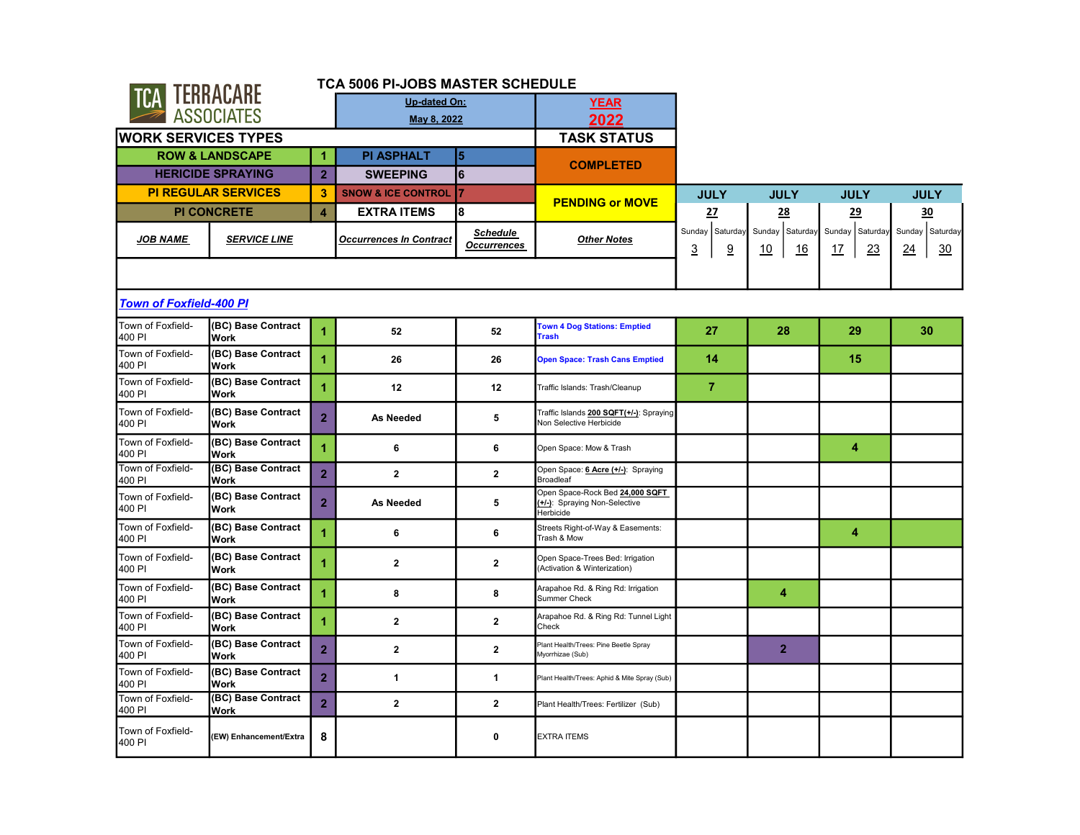|                                |                            |                         | TCA 5006 PI-JOBS MASTER SCHEDULE |                                       |                                                                               |                           |                             |                             |                                    |
|--------------------------------|----------------------------|-------------------------|----------------------------------|---------------------------------------|-------------------------------------------------------------------------------|---------------------------|-----------------------------|-----------------------------|------------------------------------|
| <b>TCA TERRACARE</b>           |                            |                         | <b>Up-dated On:</b>              |                                       | <b>YEAR</b>                                                                   |                           |                             |                             |                                    |
|                                | <b>ASSOCIATES</b>          |                         | May 8, 2022                      |                                       | 2022                                                                          |                           |                             |                             |                                    |
| <b>WORK SERVICES TYPES</b>     |                            |                         |                                  |                                       | <b>TASK STATUS</b>                                                            |                           |                             |                             |                                    |
|                                | <b>ROW &amp; LANDSCAPE</b> | 1                       | <b>PI ASPHALT</b>                | 5                                     | <b>COMPLETED</b>                                                              |                           |                             |                             |                                    |
|                                | <b>HERICIDE SPRAYING</b>   | $\overline{2}$          | <b>SWEEPING</b>                  | 6                                     |                                                                               |                           |                             |                             |                                    |
|                                | <b>PI REGULAR SERVICES</b> | $\overline{\mathbf{3}}$ | <b>SNOW &amp; ICE CONTROL</b>    | 7                                     | <b>PENDING or MOVE</b>                                                        | <b>JULY</b>               | <b>JULY</b>                 | <b>JULY</b>                 | <b>JULY</b>                        |
|                                | <b>PI CONCRETE</b>         | $\overline{\mathbf{4}}$ | <b>EXTRA ITEMS</b>               | 8                                     |                                                                               | 27                        | 28                          | 29                          | 30                                 |
| <b>JOB NAME</b>                | <b>SERVICE LINE</b>        |                         | <b>Occurrences In Contract</b>   | <b>Schedule</b><br><b>Occurrences</b> | <b>Other Notes</b>                                                            | Sunday Saturday<br>3<br>9 | Sunday Saturday<br>10<br>16 | Sunday Saturday<br>23<br>17 | Sunday Saturday<br>30<br><u>24</u> |
|                                |                            |                         |                                  |                                       |                                                                               |                           |                             |                             |                                    |
| <b>Town of Foxfield-400 PI</b> |                            |                         |                                  |                                       |                                                                               |                           |                             |                             |                                    |
| Town of Foxfield-<br>400 PI    | (BC) Base Contract<br>Work | $\overline{1}$          | 52                               | 52                                    | <b>Town 4 Dog Stations: Emptied</b><br><b>Trash</b>                           | 27                        | 28                          | 29                          | 30                                 |
| Town of Foxfield-<br>400 PI    | (BC) Base Contract<br>Work | $\overline{1}$          | 26                               | 26                                    | <b>Open Space: Trash Cans Emptied</b>                                         | 14                        |                             | 15                          |                                    |
| Town of Foxfield-<br>400 PI    | (BC) Base Contract<br>Work | $\overline{1}$          | 12                               | 12                                    | Traffic Islands: Trash/Cleanup                                                | $\overline{7}$            |                             |                             |                                    |
| Town of Foxfield-<br>400 PI    | (BC) Base Contract<br>Work | $\overline{2}$          | <b>As Needed</b>                 | 5                                     | Traffic Islands 200 SQFT(+/-): Spraying<br>Non Selective Herbicide            |                           |                             |                             |                                    |
| Town of Foxfield-<br>400 PI    | (BC) Base Contract<br>Work | $\overline{1}$          | 6                                | 6                                     | Open Space: Mow & Trash                                                       |                           |                             | 4                           |                                    |
| Town of Foxfield-<br>400 PI    | (BC) Base Contract<br>Work | $\overline{2}$          | $\overline{2}$                   | $\overline{2}$                        | Open Space: 6 Acre (+/-): Spraying<br><b>Broadleaf</b>                        |                           |                             |                             |                                    |
| Town of Foxfield-<br>400 PI    | (BC) Base Contract<br>Work | $\overline{2}$          | As Needed                        | 5                                     | Open Space-Rock Bed 24,000 SQFT<br>(+/-): Spraying Non-Selective<br>Herbicide |                           |                             |                             |                                    |
| Town of Foxfield-<br>400 PI    | (BC) Base Contract<br>Work | $\overline{1}$          | 6                                | 6                                     | Streets Right-of-Way & Easements:<br>Trash & Mow                              |                           |                             | 4                           |                                    |
| Town of Foxfield-<br>400 PI    | (BC) Base Contract<br>Work | 1                       | $\mathbf{2}$                     | $\mathbf{2}$                          | Open Space-Trees Bed: Irrigation<br>(Activation & Winterization)              |                           |                             |                             |                                    |
| Town of Foxfield-<br>400 PI    | (BC) Base Contract<br>Work | 1                       | 8                                | 8                                     | Arapahoe Rd. & Ring Rd: Irrigation<br>Summer Check                            |                           | 4                           |                             |                                    |
| Town of Foxfield-<br>400 PI    | (BC) Base Contract<br>Work | 1                       | $\overline{2}$                   | $\overline{2}$                        | Arapahoe Rd. & Ring Rd: Tunnel Light<br>Check                                 |                           |                             |                             |                                    |
| Town of Foxfield-<br>400 PI    | (BC) Base Contract<br>Work | $\overline{2}$          | $\mathbf{2}$                     | $\mathbf{2}$                          | Plant Health/Trees: Pine Beetle Spray<br>Myorrhizae (Sub)                     |                           | $\overline{2}$              |                             |                                    |
| Town of Foxfield-<br>400 PI    | (BC) Base Contract<br>Work | $\overline{2}$          | 1                                | 1                                     | Plant Health/Trees: Aphid & Mite Spray (Sub)                                  |                           |                             |                             |                                    |
| Town of Foxfield-<br>400 PI    | (BC) Base Contract<br>Work | $\overline{2}$          | $\overline{2}$                   | $\overline{2}$                        | Plant Health/Trees: Fertilizer (Sub)                                          |                           |                             |                             |                                    |
| Town of Foxfield-<br>400 PI    | (EW) Enhancement/Extra     | 8                       |                                  | $\mathbf{0}$                          | <b>EXTRA ITEMS</b>                                                            |                           |                             |                             |                                    |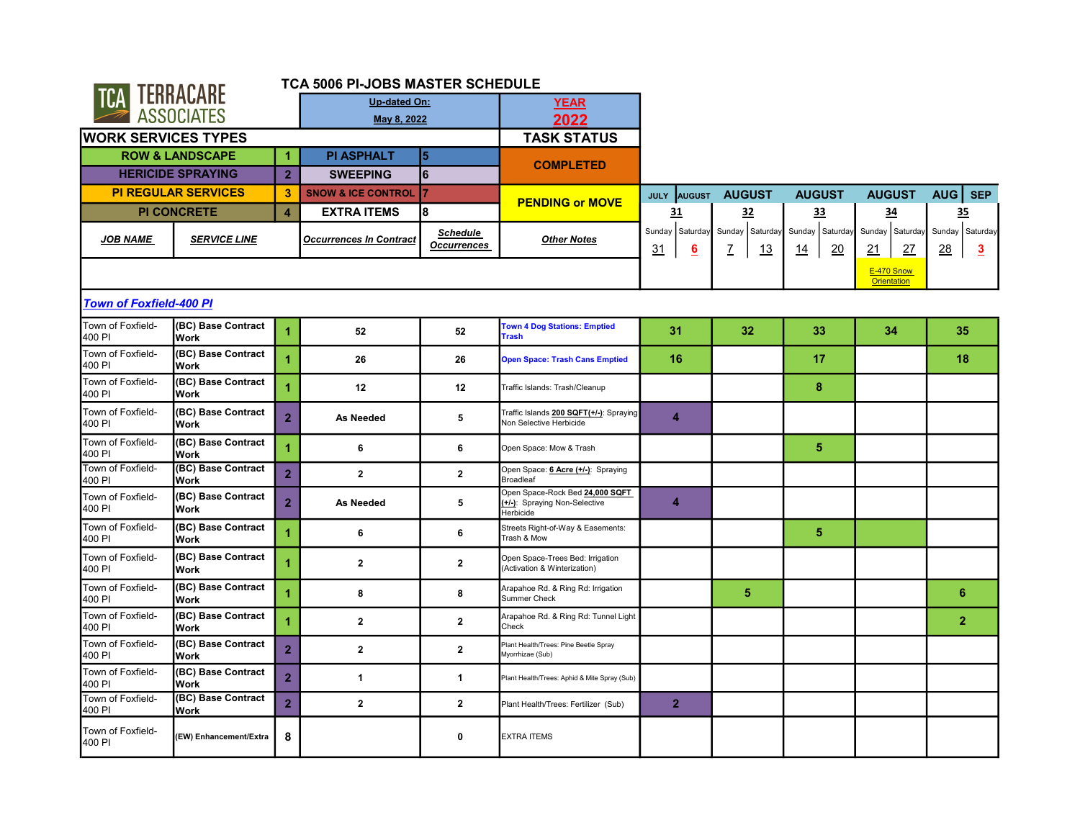|                                |                                   |                | <b>TCA 5006 PI-JOBS MASTER SCHEDULE</b> |                                       |                                                                               |                                            |                               |                                    |                                     |                                                |
|--------------------------------|-----------------------------------|----------------|-----------------------------------------|---------------------------------------|-------------------------------------------------------------------------------|--------------------------------------------|-------------------------------|------------------------------------|-------------------------------------|------------------------------------------------|
| <b>TCA TERRACARE</b>           |                                   |                | <b>Up-dated On:</b>                     |                                       | <b>YEAR</b>                                                                   |                                            |                               |                                    |                                     |                                                |
|                                | <b>ASSOCIATES</b>                 |                | May 8, 2022                             |                                       | 2022                                                                          |                                            |                               |                                    |                                     |                                                |
| <b>WORK SERVICES TYPES</b>     |                                   |                |                                         |                                       | <b>TASK STATUS</b>                                                            |                                            |                               |                                    |                                     |                                                |
|                                | <b>ROW &amp; LANDSCAPE</b>        | 1              | <b>PI ASPHALT</b>                       | 5                                     |                                                                               |                                            |                               |                                    |                                     |                                                |
|                                | <b>HERICIDE SPRAYING</b>          | 2 <sup>1</sup> | <b>SWEEPING</b>                         | 6                                     | <b>COMPLETED</b>                                                              |                                            |                               |                                    |                                     |                                                |
|                                | <b>PI REGULAR SERVICES</b>        | 3              | <b>SNOW &amp; ICE CONTROL</b>           | 7                                     |                                                                               | <b>AUGUST</b><br><b>JULY</b>               | <b>AUGUST</b>                 | <b>AUGUST</b>                      | <b>AUGUST</b>                       | AUG   SEP                                      |
|                                | <b>PI CONCRETE</b>                | $\overline{4}$ | <b>EXTRA ITEMS</b>                      | 8                                     | <b>PENDING or MOVE</b>                                                        | <u>31</u>                                  | 32                            | <u>33</u>                          | 34                                  | 35                                             |
| <b>JOB NAME</b>                | <b>SERVICE LINE</b>               |                | <b>Occurrences In Contract</b>          | <b>Schedule</b><br><b>Occurrences</b> | <b>Other Notes</b>                                                            | Sunday   Saturday<br>31<br>$6\overline{6}$ | Sunday<br>Saturday<br>Z<br>13 | Sunday Saturday<br>20<br><u>14</u> | Sunday Saturday<br>27<br><u> 21</u> | Sunday Saturday<br><u>28</u><br>$\overline{3}$ |
|                                |                                   |                |                                         |                                       |                                                                               |                                            |                               |                                    | E-470 Snow<br><b>Orientation</b>    |                                                |
| <b>Town of Foxfield-400 PI</b> |                                   |                |                                         |                                       |                                                                               |                                            |                               |                                    |                                     |                                                |
| Town of Foxfield-<br>400 PI    | (BC) Base Contract<br><b>Work</b> | 1              | 52                                      | 52                                    | <b>Town 4 Dog Stations: Emptied</b><br><b>Trash</b>                           | 31                                         | 32 <sub>2</sub>               | 33                                 | 34                                  | 35                                             |
| Town of Foxfield-<br>400 PI    | (BC) Base Contract<br><b>Work</b> | 4              | 26                                      | 26                                    | <b>Open Space: Trash Cans Emptied</b>                                         | 16                                         |                               | 17                                 |                                     | 18                                             |
| Town of Foxfield-<br>400 PI    | (BC) Base Contract<br>Work        | 1              | 12                                      | 12                                    | Traffic Islands: Trash/Cleanup                                                |                                            |                               | 8                                  |                                     |                                                |
| Town of Foxfield-<br>400 PI    | (BC) Base Contract<br><b>Work</b> | $\overline{2}$ | <b>As Needed</b>                        | 5                                     | Traffic Islands 200 SQFT(+/-): Spraying<br>Non Selective Herbicide            | $\overline{4}$                             |                               |                                    |                                     |                                                |
| Town of Foxfield-<br>400 PI    | (BC) Base Contract<br><b>Work</b> | 1              | 6                                       | 6                                     | Open Space: Mow & Trash                                                       |                                            |                               | 5                                  |                                     |                                                |
| Town of Foxfield-<br>400 PI    | (BC) Base Contract<br><b>Work</b> | $\overline{2}$ | $\mathbf{2}$                            | $\mathbf{2}$                          | Open Space: 6 Acre (+/-): Spraying<br><b>Broadleaf</b>                        |                                            |                               |                                    |                                     |                                                |
| Town of Foxfield-<br>400 PI    | (BC) Base Contract<br>Work        | $\overline{2}$ | As Needed                               | 5                                     | Open Space-Rock Bed 24,000 SQFT<br>(+/-): Spraying Non-Selective<br>Herbicide | 4                                          |                               |                                    |                                     |                                                |
| Town of Foxfield-<br>400 PI    | (BC) Base Contract<br><b>Work</b> | 1              | 6                                       | 6                                     | Streets Right-of-Way & Easements:<br>Trash & Mow                              |                                            |                               | $\sqrt{5}$                         |                                     |                                                |
| Town of Foxfield-<br>400 PI    | (BC) Base Contract<br><b>Work</b> |                | $\overline{2}$                          | $\overline{\mathbf{2}}$               | Open Space-Trees Bed: Irrigation<br>(Activation & Winterization)              |                                            |                               |                                    |                                     |                                                |
| Town of Foxfield-<br>400 PI    | (BC) Base Contract<br><b>Work</b> | 1              | 8                                       | 8                                     | Arapahoe Rd. & Ring Rd: Irrigation<br><b>Summer Check</b>                     |                                            | 5.                            |                                    |                                     | 6                                              |
| Town of Foxfield-<br>400 PI    | (BC) Base Contract<br>Work        | 4              | $\overline{2}$                          | $\mathbf{2}$                          | Arapahoe Rd. & Ring Rd: Tunnel Light<br>Check                                 |                                            |                               |                                    |                                     | $\overline{2}$                                 |
| Town of Foxfield-<br>400 PI    | (BC) Base Contract<br><b>Work</b> | $\overline{2}$ | $\overline{2}$                          | $\mathbf{2}$                          | Plant Health/Trees: Pine Beetle Spray<br>Myorrhizae (Sub)                     |                                            |                               |                                    |                                     |                                                |
| Town of Foxfield-<br>400 PI    | (BC) Base Contract<br>Work        | $\overline{2}$ | $\mathbf{1}$                            | 1                                     | Plant Health/Trees: Aphid & Mite Spray (Sub)                                  |                                            |                               |                                    |                                     |                                                |
| Town of Foxfield-<br>400 PI    | (BC) Base Contract<br><b>Work</b> | $\overline{2}$ | $\overline{2}$                          | $\mathbf{2}$                          | Plant Health/Trees: Fertilizer (Sub)                                          | $\overline{2}$                             |                               |                                    |                                     |                                                |
| Town of Foxfield-<br>400 PI    | (EW) Enhancement/Extra            | 8              |                                         | 0                                     | <b>EXTRA ITEMS</b>                                                            |                                            |                               |                                    |                                     |                                                |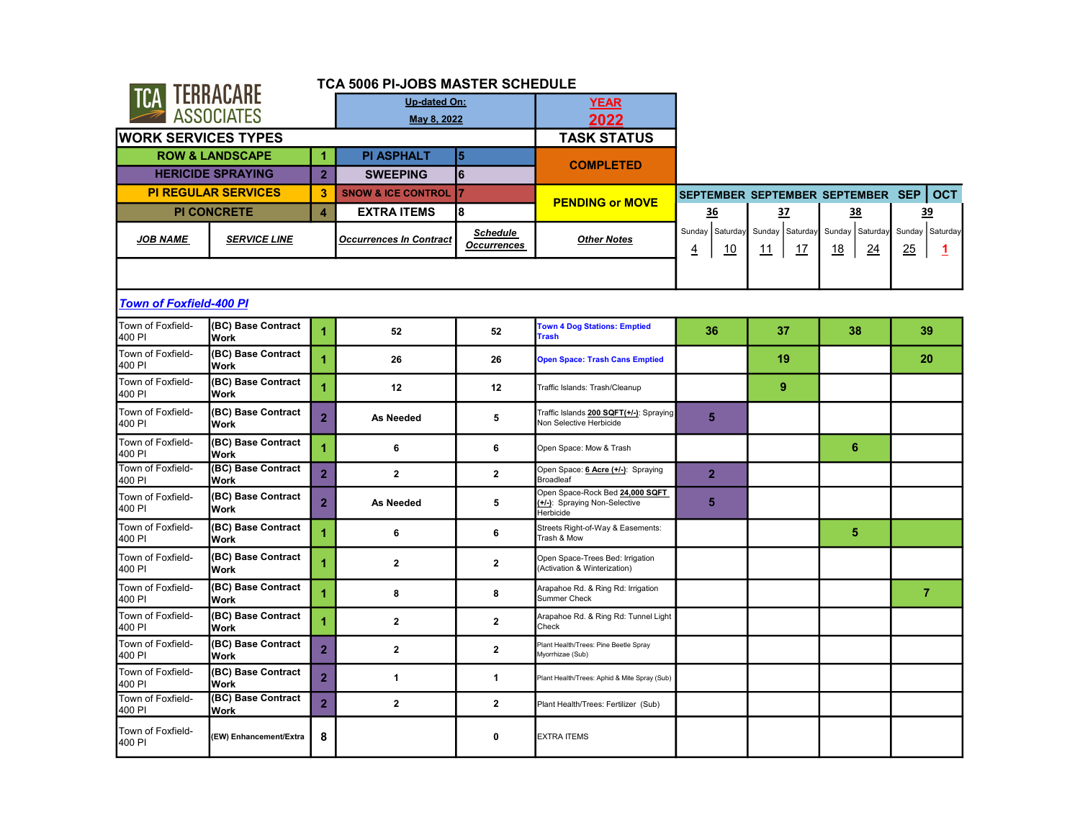| <b>TCA TERRACARE</b>           |                                   |                      | TCA 5006 PI-JOBS MASTER SCHEDULE |                                       |                                                                               |                                          |                                    |                             |                            |
|--------------------------------|-----------------------------------|----------------------|----------------------------------|---------------------------------------|-------------------------------------------------------------------------------|------------------------------------------|------------------------------------|-----------------------------|----------------------------|
|                                |                                   |                      | Up-dated On:                     |                                       | <b>YEAR</b>                                                                   |                                          |                                    |                             |                            |
|                                | <b>ASSOCIATES</b>                 |                      | May 8, 2022                      |                                       | 2022                                                                          |                                          |                                    |                             |                            |
| <b>WORK SERVICES TYPES</b>     |                                   |                      |                                  |                                       | <b>TASK STATUS</b>                                                            |                                          |                                    |                             |                            |
|                                | <b>ROW &amp; LANDSCAPE</b>        | $\blacktriangleleft$ | <b>PI ASPHALT</b>                | $\overline{5}$                        |                                                                               |                                          |                                    |                             |                            |
|                                | <b>HERICIDE SPRAYING</b>          | $\overline{2}$       | <b>SWEEPING</b>                  | 6                                     | <b>COMPLETED</b>                                                              |                                          |                                    |                             |                            |
|                                | <b>PI REGULAR SERVICES</b>        | 3                    | <b>SNOW &amp; ICE CONTROL</b>    | 17                                    | <b>PENDING or MOVE</b>                                                        |                                          | SEPTEMBER SEPTEMBER SEPTEMBER SEP  |                             | <b>OCT</b>                 |
|                                | <b>PI CONCRETE</b>                | $\overline{4}$       | <b>EXTRA ITEMS</b>               | 8                                     |                                                                               | <u>36</u>                                | 37                                 | 38                          | 39                         |
| <b>JOB NAME</b>                | <b>SERVICE LINE</b>               |                      | <b>Occurrences In Contract</b>   | <b>Schedule</b><br><b>Occurrences</b> | <b>Other Notes</b>                                                            | Sunday Saturday<br><u>4</u><br><u>10</u> | Sunday Saturday<br>17<br><u>11</u> | Sunday Saturday<br>18<br>24 | Sunday Saturday<br>25<br>1 |
|                                |                                   |                      |                                  |                                       |                                                                               |                                          |                                    |                             |                            |
| <b>Town of Foxfield-400 PI</b> |                                   |                      |                                  |                                       |                                                                               |                                          |                                    |                             |                            |
| Town of Foxfield-<br>400 PI    | (BC) Base Contract<br>Work        | 1                    | 52                               | 52                                    | <b>Town 4 Dog Stations: Emptied</b><br><b>Trash</b>                           | 36                                       | 37                                 | 38                          | 39                         |
| Town of Foxfield-<br>400 PI    | (BC) Base Contract<br>Work        | $\blacktriangleleft$ | 26                               | 26                                    | <b>Open Space: Trash Cans Emptied</b>                                         |                                          | 19                                 |                             | 20                         |
| Town of Foxfield-<br>400 PI    | (BC) Base Contract<br>Work        | $\blacktriangleleft$ | 12                               | 12                                    | Traffic Islands: Trash/Cleanup                                                |                                          | 9                                  |                             |                            |
| Town of Foxfield-<br>400 PI    | (BC) Base Contract<br>Work        | $\overline{2}$       | <b>As Needed</b>                 | 5                                     | Traffic Islands 200 SQFT(+/-): Spraying<br>Non Selective Herbicide            | 5                                        |                                    |                             |                            |
| Town of Foxfield-<br>400 PI    | (BC) Base Contract<br>Work        | 1                    | 6                                | 6                                     | Open Space: Mow & Trash                                                       |                                          |                                    | 6                           |                            |
| Town of Foxfield-<br>400 PI    | (BC) Base Contract<br>Work        | $\overline{2}$       | $\overline{2}$                   | $\overline{2}$                        | Open Space: 6 Acre (+/-): Spraying<br><b>Broadleaf</b>                        | $\overline{2}$                           |                                    |                             |                            |
| Town of Foxfield-<br>400 PI    | (BC) Base Contract<br>Work        | $\overline{2}$       | As Needed                        | 5                                     | Open Space-Rock Bed 24,000 SQFT<br>(+/-): Spraying Non-Selective<br>Herbicide | 5                                        |                                    |                             |                            |
| Town of Foxfield-<br>400 PI    | (BC) Base Contract<br>Work        | 1                    | 6                                | 6                                     | Streets Right-of-Way & Easements:<br>Trash & Mow                              |                                          |                                    | 5                           |                            |
| Town of Foxfield-<br>400 PI    | (BC) Base Contract<br>Work        | 1                    | $\mathbf{2}$                     | $\mathbf{2}$                          | Open Space-Trees Bed: Irrigation<br>(Activation & Winterization)              |                                          |                                    |                             |                            |
| Town of Foxfield-<br>400 PI    | (BC) Base Contract<br>Work        | 1                    | 8                                | 8                                     | Arapahoe Rd. & Ring Rd: Irrigation<br>Summer Check                            |                                          |                                    |                             | $\overline{7}$             |
| Town of Foxfield-<br>400 PI    | (BC) Base Contract<br>Work        | 1                    | $\overline{2}$                   | $\overline{2}$                        | Arapahoe Rd. & Ring Rd: Tunnel Light<br>Check                                 |                                          |                                    |                             |                            |
| Town of Foxfield-<br>400 PI    | (BC) Base Contract<br>Work        | $\overline{2}$       | $\mathbf{2}$                     | $\mathbf{2}$                          | Plant Health/Trees: Pine Beetle Spray<br>Myorrhizae (Sub)                     |                                          |                                    |                             |                            |
| Town of Foxfield-<br>400 PI    | (BC) Base Contract<br>Work        | $\overline{2}$       | $\mathbf{1}$                     | $\mathbf{1}$                          | Plant Health/Trees: Aphid & Mite Spray (Sub)                                  |                                          |                                    |                             |                            |
| Town of Foxfield-<br>400 PI    | (BC) Base Contract<br><b>Work</b> | $\overline{2}$       | $\overline{2}$                   | $\overline{2}$                        | Plant Health/Trees: Fertilizer (Sub)                                          |                                          |                                    |                             |                            |
| Town of Foxfield-<br>400 PI    | (EW) Enhancement/Extra            | 8                    |                                  | 0                                     | <b>EXTRA ITEMS</b>                                                            |                                          |                                    |                             |                            |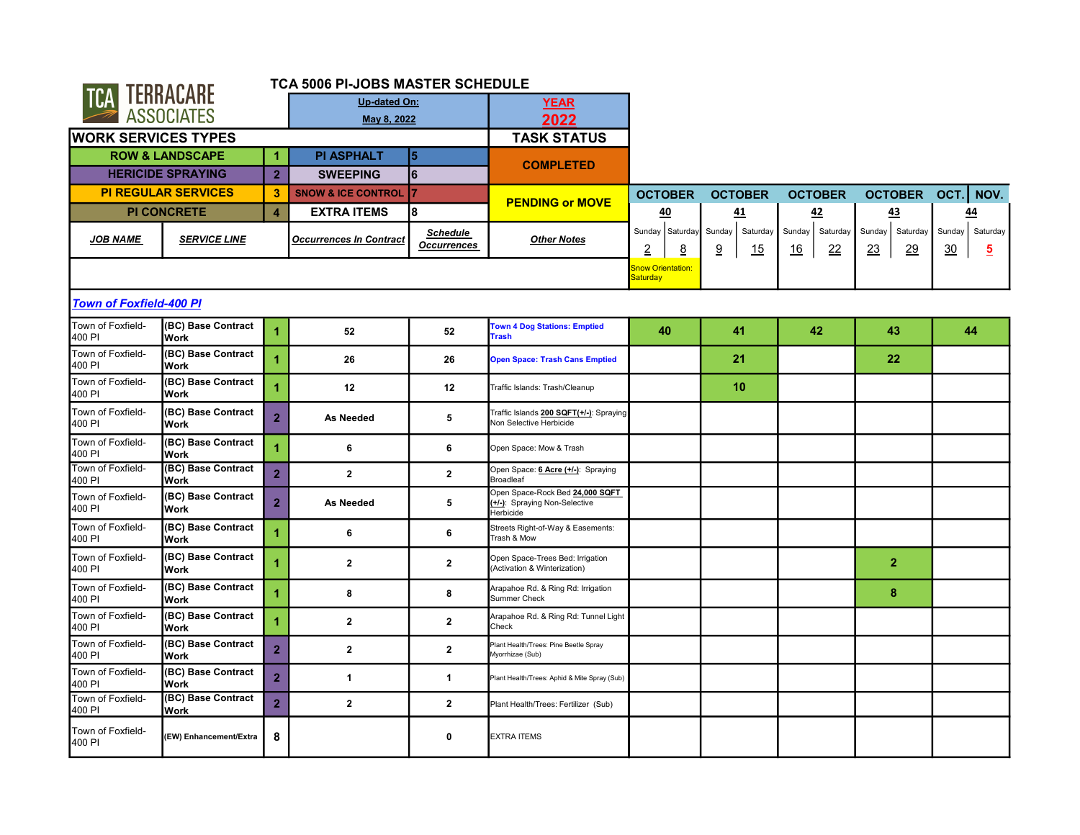|                                |                                   |                      | <b>TCA 5006 PI-JOBS MASTER SCHEDULE</b> |                                       |                                                                               |                                  |                               |                                        |                                |                                            |
|--------------------------------|-----------------------------------|----------------------|-----------------------------------------|---------------------------------------|-------------------------------------------------------------------------------|----------------------------------|-------------------------------|----------------------------------------|--------------------------------|--------------------------------------------|
| <b>TCA TERRACARE</b>           |                                   |                      | <b>Up-dated On:</b>                     |                                       | YEAR                                                                          |                                  |                               |                                        |                                |                                            |
|                                | <b>ASSOCIATES</b>                 |                      | May 8, 2022                             |                                       | 2022                                                                          |                                  |                               |                                        |                                |                                            |
| <b>WORK SERVICES TYPES</b>     |                                   |                      |                                         |                                       | <b>TASK STATUS</b>                                                            |                                  |                               |                                        |                                |                                            |
|                                | <b>ROW &amp; LANDSCAPE</b>        | $\blacktriangleleft$ | <b>PI ASPHALT</b>                       | l5                                    |                                                                               |                                  |                               |                                        |                                |                                            |
|                                | <b>HERICIDE SPRAYING</b>          | $\overline{2}$       | <b>SWEEPING</b>                         | l6                                    | <b>COMPLETED</b>                                                              |                                  |                               |                                        |                                |                                            |
|                                | <b>PI REGULAR SERVICES</b>        | $\mathbf{3}$         | <b>SNOW &amp; ICE CONTROL</b>           |                                       |                                                                               | <b>OCTOBER</b>                   | <b>OCTOBER</b>                | <b>OCTOBER</b>                         | <b>OCTOBER</b>                 | NOV.<br> OCT.                              |
|                                | <b>PI CONCRETE</b>                | $\overline{4}$       | <b>EXTRA ITEMS</b>                      | 8                                     | <b>PENDING or MOVE</b>                                                        | 40                               | 41                            | 42                                     | 43                             | 44                                         |
| <b>JOB NAME</b>                | <b>SERVICE LINE</b>               |                      | <b>Occurrences In Contract</b>          | <b>Schedule</b><br><b>Occurrences</b> | <b>Other Notes</b>                                                            | Sunday Saturday<br>2<br><u>8</u> | Sunday<br>Saturday<br>9<br>15 | Sunday<br>Saturday<br>22<br><u> 16</u> | Sunday<br>Saturday<br>29<br>23 | Sunday<br>Saturday<br>30<br>$\overline{5}$ |
|                                |                                   |                      |                                         |                                       |                                                                               | Snow Orientation:<br>Saturday    |                               |                                        |                                |                                            |
| <b>Town of Foxfield-400 PI</b> |                                   |                      |                                         |                                       |                                                                               |                                  |                               |                                        |                                |                                            |
| Town of Foxfield-<br>400 PI    | (BC) Base Contract<br><b>Work</b> | $\overline{1}$       | 52                                      | 52                                    | <b>Town 4 Dog Stations: Emptied</b><br><b>Trash</b>                           | 40                               | 41                            | 42                                     | 43                             | 44                                         |
| Town of Foxfield-<br>400 PI    | (BC) Base Contract<br><b>Work</b> | $\overline{1}$       | 26                                      | 26                                    | <b>Open Space: Trash Cans Emptied</b>                                         |                                  | 21                            |                                        | 22                             |                                            |
| Town of Foxfield-<br>400 PI    | (BC) Base Contract<br><b>Work</b> | 1                    | 12                                      | 12                                    | Traffic Islands: Trash/Cleanup                                                |                                  | 10                            |                                        |                                |                                            |
| Town of Foxfield-<br>400 PI    | (BC) Base Contract<br><b>Work</b> | $\overline{2}$       | <b>As Needed</b>                        | 5                                     | Traffic Islands 200 SQFT(+/-): Spraying<br>Non Selective Herbicide            |                                  |                               |                                        |                                |                                            |
| Town of Foxfield-<br>400 PI    | (BC) Base Contract<br><b>Work</b> | $\overline{1}$       | 6                                       | 6                                     | Open Space: Mow & Trash                                                       |                                  |                               |                                        |                                |                                            |
| Town of Foxfield-<br>400 PI    | (BC) Base Contract<br><b>Work</b> | $\overline{2}$       | $\overline{2}$                          | $\overline{2}$                        | Open Space: 6 Acre (+/-): Spraying<br>Broadleaf                               |                                  |                               |                                        |                                |                                            |
| Town of Foxfield-<br>400 PI    | (BC) Base Contract<br>Work        | $\overline{2}$       | <b>As Needed</b>                        | 5                                     | Open Space-Rock Bed 24,000 SQFT<br>(+/-): Spraying Non-Selective<br>Herbicide |                                  |                               |                                        |                                |                                            |
| Town of Foxfield-<br>400 PI    | (BC) Base Contract<br><b>Work</b> | $\overline{1}$       | 6                                       | 6                                     | Streets Right-of-Way & Easements:<br>Trash & Mow                              |                                  |                               |                                        |                                |                                            |
| Town of Foxfield-<br>400 PI    | (BC) Base Contract<br><b>Work</b> | 1                    | $\overline{2}$                          | $\mathbf{2}$                          | Open Space-Trees Bed: Irrigation<br>(Activation & Winterization)              |                                  |                               |                                        | $\overline{2}$                 |                                            |
| Town of Foxfield-<br>400 PI    | (BC) Base Contract<br>Work        | 1                    | 8                                       | 8                                     | Arapahoe Rd. & Ring Rd: Irrigation<br>Summer Check                            |                                  |                               |                                        | 8                              |                                            |
| Town of Foxfield-<br>400 PI    | (BC) Base Contract<br><b>Work</b> |                      | $\overline{2}$                          | $\mathbf{2}$                          | Arapahoe Rd. & Ring Rd: Tunnel Light<br>Check                                 |                                  |                               |                                        |                                |                                            |
| Town of Foxfield-<br>400 PI    | (BC) Base Contract<br>Work        | $\overline{2}$       | $\overline{2}$                          | $\mathbf{2}$                          | Plant Health/Trees: Pine Beetle Spray<br>Myorrhizae (Sub)                     |                                  |                               |                                        |                                |                                            |
| Town of Foxfield-<br>400 PI    | (BC) Base Contract<br><b>Work</b> | $\overline{2}$       | $\mathbf{1}$                            | 1                                     | Plant Health/Trees: Aphid & Mite Spray (Sub)                                  |                                  |                               |                                        |                                |                                            |
| Town of Foxfield-<br>400 PI    | (BC) Base Contract<br><b>Work</b> | $\overline{2}$       | $\overline{2}$                          | $\mathbf{2}$                          | Plant Health/Trees: Fertilizer (Sub)                                          |                                  |                               |                                        |                                |                                            |
| Town of Foxfield-<br>400 PI    | (EW) Enhancement/Extra            | 8                    |                                         | 0                                     | <b>EXTRA ITEMS</b>                                                            |                                  |                               |                                        |                                |                                            |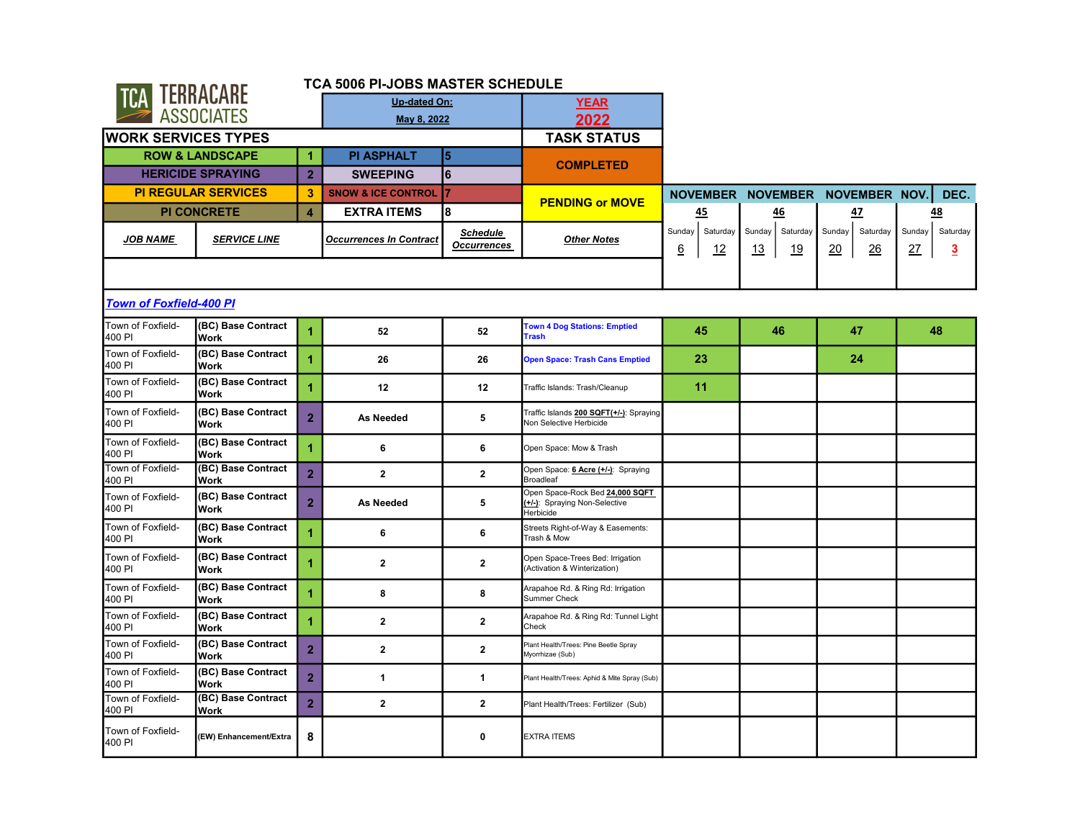| TERRACARE  |
|------------|
| ASSUEIATES |

## TCA 5006 PI-JOBS MASTER SCHEDULE

×

| <b>IGA LEBRASARE</b>           |                                   |                      | Up-dated On:                   |                                       | <b>YEAR</b>                                                                   |                               |                                       |                                 |                                            |
|--------------------------------|-----------------------------------|----------------------|--------------------------------|---------------------------------------|-------------------------------------------------------------------------------|-------------------------------|---------------------------------------|---------------------------------|--------------------------------------------|
|                                | <b>ASSOCIATES</b>                 |                      | May 8, 2022                    |                                       | 2022                                                                          |                               |                                       |                                 |                                            |
| <b>WORK SERVICES TYPES</b>     |                                   |                      |                                |                                       | <b>TASK STATUS</b>                                                            |                               |                                       |                                 |                                            |
|                                | <b>ROW &amp; LANDSCAPE</b>        | 1                    | <b>PI ASPHALT</b>              | $\overline{\mathbf{5}}$               | <b>COMPLETED</b>                                                              |                               |                                       |                                 |                                            |
|                                | <b>HERICIDE SPRAYING</b>          | $\overline{2}$       | <b>SWEEPING</b>                | 6                                     |                                                                               |                               |                                       |                                 |                                            |
|                                | <b>PI REGULAR SERVICES</b>        | 3                    | <b>SNOW &amp; ICE CONTROL</b>  |                                       | <b>PENDING or MOVE</b>                                                        |                               |                                       | NOVEMBER NOVEMBER NOVEMBER NOV. | DEC.                                       |
|                                | <b>PI CONCRETE</b>                | $\blacktriangleleft$ | <b>EXTRA ITEMS</b>             | l8                                    |                                                                               | 45                            | 46                                    | 47                              | <b>48</b>                                  |
| JOB NAME                       | <b>SERVICE LINE</b>               |                      | <b>Occurrences In Contract</b> | <b>Schedule</b><br><b>Occurrences</b> | <b>Other Notes</b>                                                            | Saturday<br>Sunday<br>6<br>12 | Sunday<br>Saturday<br>13<br><u>19</u> | Saturday<br>Sunday<br>20<br>26  | Sunday<br>Saturday<br>27<br>$\overline{3}$ |
|                                |                                   |                      |                                |                                       |                                                                               |                               |                                       |                                 |                                            |
| <b>Town of Foxfield-400 PI</b> |                                   |                      |                                |                                       |                                                                               |                               |                                       |                                 |                                            |
| Town of Foxfield-<br>400 PI    | (BC) Base Contract<br>Work        | 1                    | 52                             | 52                                    | <b>Town 4 Dog Stations: Emptied</b><br><b>Trash</b>                           | 45                            | 46                                    | 47                              | 48                                         |
| Town of Foxfield-<br>400 PI    | (BC) Base Contract<br><b>Work</b> | $\blacktriangleleft$ | 26                             | 26                                    | <b>Open Space: Trash Cans Emptied</b>                                         | 23                            |                                       | 24                              |                                            |
| Town of Foxfield-<br>400 PI    | (BC) Base Contract<br>Work        | 1                    | 12                             | 12                                    | Traffic Islands: Trash/Cleanup                                                | 11                            |                                       |                                 |                                            |
| Town of Foxfield-<br>400 PI    | (BC) Base Contract<br><b>Work</b> | $\overline{2}$       | As Needed                      | 5                                     | Traffic Islands 200 SQFT(+/-): Spraying<br>Non Selective Herbicide            |                               |                                       |                                 |                                            |
| Town of Foxfield-<br>400 PI    | (BC) Base Contract<br><b>Work</b> | $\blacktriangleleft$ | 6                              | 6                                     | Open Space: Mow & Trash                                                       |                               |                                       |                                 |                                            |
| Town of Foxfield-<br>400 PI    | (BC) Base Contract<br><b>Work</b> | $\overline{2}$       | $\mathbf{2}$                   | $\mathbf{2}$                          | Open Space: 6 Acre (+/-): Spraying<br><b>Broadleaf</b>                        |                               |                                       |                                 |                                            |
| Town of Foxfield-<br>400 PI    | (BC) Base Contract<br><b>Work</b> | $\overline{2}$       | As Needed                      | 5                                     | Open Space-Rock Bed 24,000 SQFT<br>(+/-): Spraying Non-Selective<br>Herbicide |                               |                                       |                                 |                                            |
| Town of Foxfield-<br>400 PI    | (BC) Base Contract<br><b>Work</b> |                      | 6                              | 6                                     | Streets Right-of-Way & Easements:<br>Trash & Mow                              |                               |                                       |                                 |                                            |
| Town of Foxfield-<br>400 PI    | (BC) Base Contract<br><b>Work</b> | 1                    | $\mathbf{2}$                   | $\mathbf{2}$                          | Open Space-Trees Bed: Irrigation<br>(Activation & Winterization)              |                               |                                       |                                 |                                            |
| Town of Foxfield-<br>400 PI    | (BC) Base Contract<br><b>Work</b> | $\blacktriangleleft$ | 8                              | 8                                     | Arapahoe Rd. & Ring Rd: Irrigation<br>Summer Check                            |                               |                                       |                                 |                                            |
| Town of Foxfield-<br>400 PI    | (BC) Base Contract<br><b>Work</b> | 1                    | $\mathbf{2}$                   | $\mathbf{2}$                          | Arapahoe Rd. & Ring Rd: Tunnel Light<br>Check                                 |                               |                                       |                                 |                                            |
| Town of Foxfield-<br>400 PI    | (BC) Base Contract<br><b>Work</b> | $\overline{2}$       | $\mathbf{2}$                   | $\mathbf{2}$                          | Plant Health/Trees: Pine Beetle Spray<br>Myorrhizae (Sub)                     |                               |                                       |                                 |                                            |
| Town of Foxfield-<br>400 PI    | (BC) Base Contract<br><b>Work</b> | $\overline{2}$       | $\mathbf{1}$                   | $\mathbf{1}$                          | Plant Health/Trees: Aphid & Mite Spray (Sub)                                  |                               |                                       |                                 |                                            |
| Town of Foxfield-<br>400 PI    | (BC) Base Contract<br>Work        | $\overline{2}$       | $\mathbf{2}$                   | $\mathbf{2}$                          | Plant Health/Trees: Fertilizer (Sub)                                          |                               |                                       |                                 |                                            |
| Town of Foxfield-<br>400 PI    | (EW) Enhancement/Extra            | 8                    |                                | $\mathbf 0$                           | <b>EXTRA ITEMS</b>                                                            |                               |                                       |                                 |                                            |